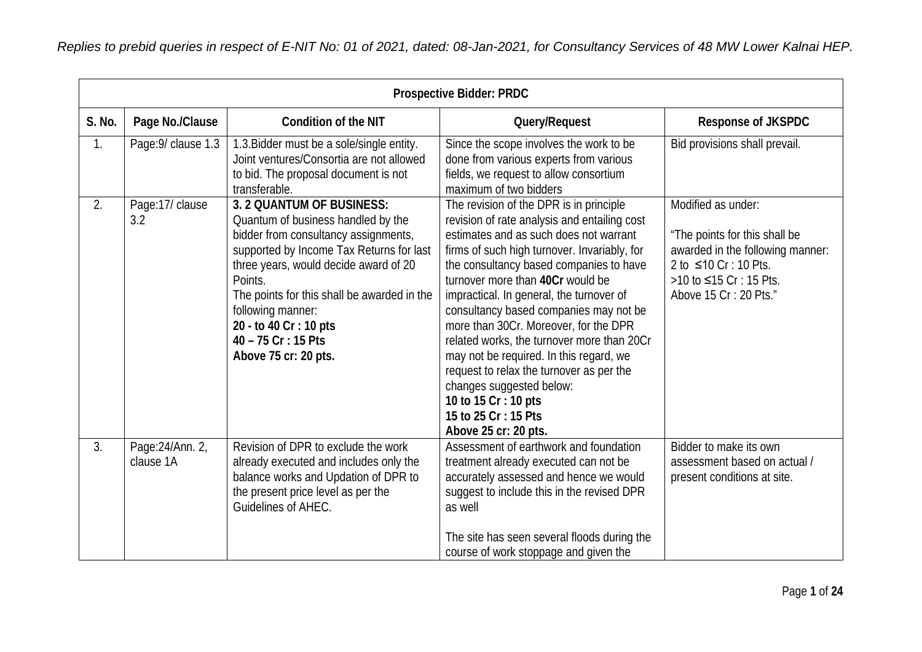|        | <b>Prospective Bidder: PRDC</b> |                                                                                                                                                                                                                                                                                                                                                      |                                                                                                                                                                                                                                                                                                                                                                                                                                                                                                                                                                                                                                         |                                                                                                                                                                     |
|--------|---------------------------------|------------------------------------------------------------------------------------------------------------------------------------------------------------------------------------------------------------------------------------------------------------------------------------------------------------------------------------------------------|-----------------------------------------------------------------------------------------------------------------------------------------------------------------------------------------------------------------------------------------------------------------------------------------------------------------------------------------------------------------------------------------------------------------------------------------------------------------------------------------------------------------------------------------------------------------------------------------------------------------------------------------|---------------------------------------------------------------------------------------------------------------------------------------------------------------------|
| S. No. | Page No./Clause                 | <b>Condition of the NIT</b>                                                                                                                                                                                                                                                                                                                          | Query/Request                                                                                                                                                                                                                                                                                                                                                                                                                                                                                                                                                                                                                           | <b>Response of JKSPDC</b>                                                                                                                                           |
| 1.     | Page: 9/ clause 1.3             | 1.3. Bidder must be a sole/single entity.<br>Joint ventures/Consortia are not allowed<br>to bid. The proposal document is not<br>transferable.                                                                                                                                                                                                       | Since the scope involves the work to be<br>done from various experts from various<br>fields, we request to allow consortium<br>maximum of two bidders                                                                                                                                                                                                                                                                                                                                                                                                                                                                                   | Bid provisions shall prevail.                                                                                                                                       |
| 2.     | Page:17/ clause<br>3.2          | 3. 2 QUANTUM OF BUSINESS:<br>Quantum of business handled by the<br>bidder from consultancy assignments,<br>supported by Income Tax Returns for last<br>three years, would decide award of 20<br>Points.<br>The points for this shall be awarded in the<br>following manner:<br>20 - to 40 Cr : 10 pts<br>40 - 75 Cr : 15 Pts<br>Above 75 cr: 20 pts. | The revision of the DPR is in principle<br>revision of rate analysis and entailing cost<br>estimates and as such does not warrant<br>firms of such high turnover. Invariably, for<br>the consultancy based companies to have<br>turnover more than 40Cr would be<br>impractical. In general, the turnover of<br>consultancy based companies may not be<br>more than 30Cr. Moreover, for the DPR<br>related works, the turnover more than 20Cr<br>may not be required. In this regard, we<br>request to relax the turnover as per the<br>changes suggested below:<br>10 to 15 Cr : 10 pts<br>15 to 25 Cr: 15 Pts<br>Above 25 cr: 20 pts. | Modified as under:<br>"The points for this shall be<br>awarded in the following manner:<br>2 to ≤10 Cr : 10 Pts.<br>>10 to ≤15 Cr: 15 Pts.<br>Above 15 Cr: 20 Pts." |
| 3.     | Page: 24/Ann. 2,<br>clause 1A   | Revision of DPR to exclude the work<br>already executed and includes only the<br>balance works and Updation of DPR to<br>the present price level as per the<br>Guidelines of AHEC.                                                                                                                                                                   | Assessment of earthwork and foundation<br>treatment already executed can not be<br>accurately assessed and hence we would<br>suggest to include this in the revised DPR<br>as well<br>The site has seen several floods during the<br>course of work stoppage and given the                                                                                                                                                                                                                                                                                                                                                              | Bidder to make its own<br>assessment based on actual /<br>present conditions at site.                                                                               |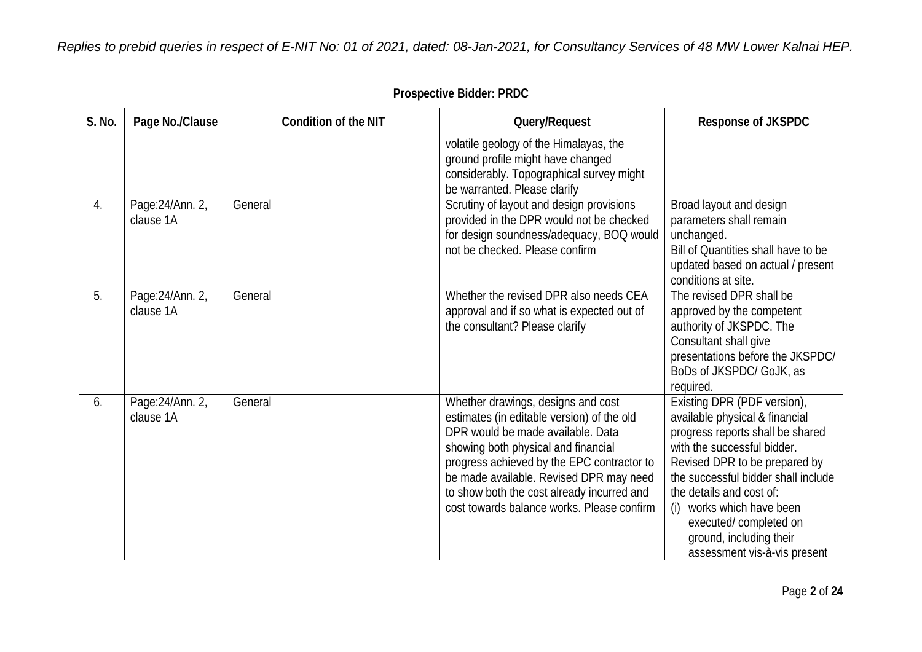|        | <b>Prospective Bidder: PRDC</b> |                             |                                                                                                                                                                                                                                                                                                                                                   |                                                                                                                                                                                                                                                                                                                                                          |
|--------|---------------------------------|-----------------------------|---------------------------------------------------------------------------------------------------------------------------------------------------------------------------------------------------------------------------------------------------------------------------------------------------------------------------------------------------|----------------------------------------------------------------------------------------------------------------------------------------------------------------------------------------------------------------------------------------------------------------------------------------------------------------------------------------------------------|
| S. No. | Page No./Clause                 | <b>Condition of the NIT</b> | Query/Request                                                                                                                                                                                                                                                                                                                                     | <b>Response of JKSPDC</b>                                                                                                                                                                                                                                                                                                                                |
|        |                                 |                             | volatile geology of the Himalayas, the<br>ground profile might have changed<br>considerably. Topographical survey might<br>be warranted. Please clarify                                                                                                                                                                                           |                                                                                                                                                                                                                                                                                                                                                          |
| 4.     | Page: 24/Ann. 2,<br>clause 1A   | General                     | Scrutiny of layout and design provisions<br>provided in the DPR would not be checked<br>for design soundness/adequacy, BOQ would<br>not be checked. Please confirm                                                                                                                                                                                | Broad layout and design<br>parameters shall remain<br>unchanged.<br>Bill of Quantities shall have to be<br>updated based on actual / present<br>conditions at site.                                                                                                                                                                                      |
| 5.     | Page: 24/Ann. 2,<br>clause 1A   | General                     | Whether the revised DPR also needs CEA<br>approval and if so what is expected out of<br>the consultant? Please clarify                                                                                                                                                                                                                            | The revised DPR shall be<br>approved by the competent<br>authority of JKSPDC. The<br>Consultant shall give<br>presentations before the JKSPDC/<br>BoDs of JKSPDC/ GoJK, as<br>required.                                                                                                                                                                  |
| 6.     | Page: 24/Ann. 2,<br>clause 1A   | General                     | Whether drawings, designs and cost<br>estimates (in editable version) of the old<br>DPR would be made available. Data<br>showing both physical and financial<br>progress achieved by the EPC contractor to<br>be made available. Revised DPR may need<br>to show both the cost already incurred and<br>cost towards balance works. Please confirm | Existing DPR (PDF version),<br>available physical & financial<br>progress reports shall be shared<br>with the successful bidder.<br>Revised DPR to be prepared by<br>the successful bidder shall include<br>the details and cost of:<br>works which have been<br>(i)<br>executed/completed on<br>ground, including their<br>assessment vis-à-vis present |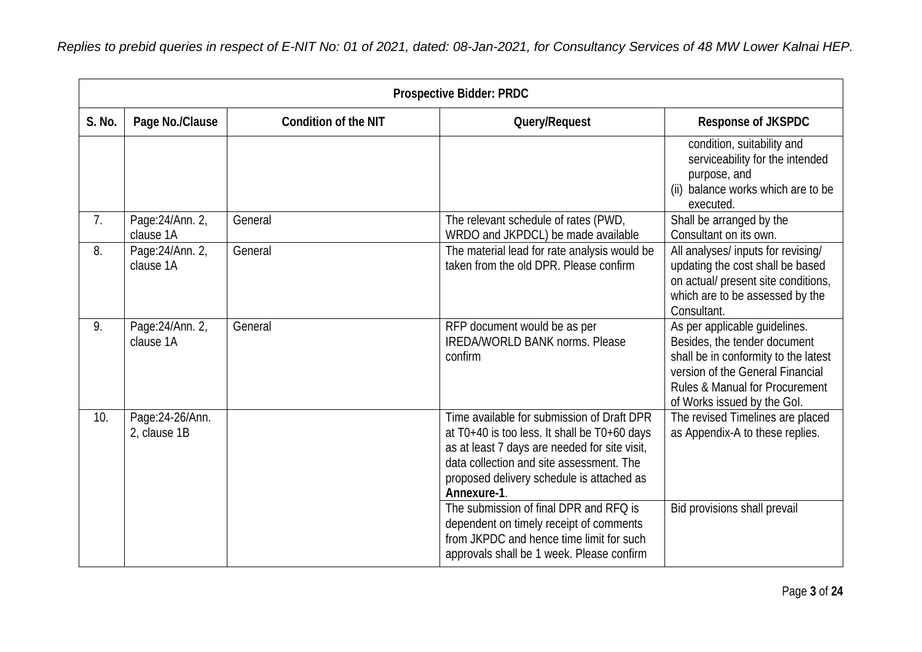|        | <b>Prospective Bidder: PRDC</b>  |                             |                                                                                                                                                                                                                                                                                                                                                                                      |                                                                                                                                                                                                            |
|--------|----------------------------------|-----------------------------|--------------------------------------------------------------------------------------------------------------------------------------------------------------------------------------------------------------------------------------------------------------------------------------------------------------------------------------------------------------------------------------|------------------------------------------------------------------------------------------------------------------------------------------------------------------------------------------------------------|
| S. No. | Page No./Clause                  | <b>Condition of the NIT</b> | Query/Request                                                                                                                                                                                                                                                                                                                                                                        | <b>Response of JKSPDC</b>                                                                                                                                                                                  |
|        |                                  |                             |                                                                                                                                                                                                                                                                                                                                                                                      | condition, suitability and<br>serviceability for the intended<br>purpose, and<br>balance works which are to be<br>(ii)<br>executed.                                                                        |
| 7.     | Page: 24/Ann. 2,<br>clause 1A    | General                     | The relevant schedule of rates (PWD,<br>WRDO and JKPDCL) be made available                                                                                                                                                                                                                                                                                                           | Shall be arranged by the<br>Consultant on its own.                                                                                                                                                         |
| 8.     | Page: 24/Ann. 2,<br>clause 1A    | General                     | The material lead for rate analysis would be<br>taken from the old DPR. Please confirm                                                                                                                                                                                                                                                                                               | All analyses/ inputs for revising/<br>updating the cost shall be based<br>on actual/ present site conditions,<br>which are to be assessed by the<br>Consultant.                                            |
| 9.     | Page: 24/Ann. 2,<br>clause 1A    | General                     | RFP document would be as per<br><b>IREDA/WORLD BANK norms. Please</b><br>confirm                                                                                                                                                                                                                                                                                                     | As per applicable guidelines.<br>Besides, the tender document<br>shall be in conformity to the latest<br>version of the General Financial<br>Rules & Manual for Procurement<br>of Works issued by the Gol. |
| 10.    | Page: 24-26/Ann.<br>2, clause 1B |                             | Time available for submission of Draft DPR<br>at T0+40 is too less. It shall be T0+60 days<br>as at least 7 days are needed for site visit,<br>data collection and site assessment. The<br>proposed delivery schedule is attached as<br>Annexure-1.<br>The submission of final DPR and RFQ is<br>dependent on timely receipt of comments<br>from JKPDC and hence time limit for such | The revised Timelines are placed<br>as Appendix-A to these replies.<br>Bid provisions shall prevail                                                                                                        |
|        |                                  |                             | approvals shall be 1 week. Please confirm                                                                                                                                                                                                                                                                                                                                            |                                                                                                                                                                                                            |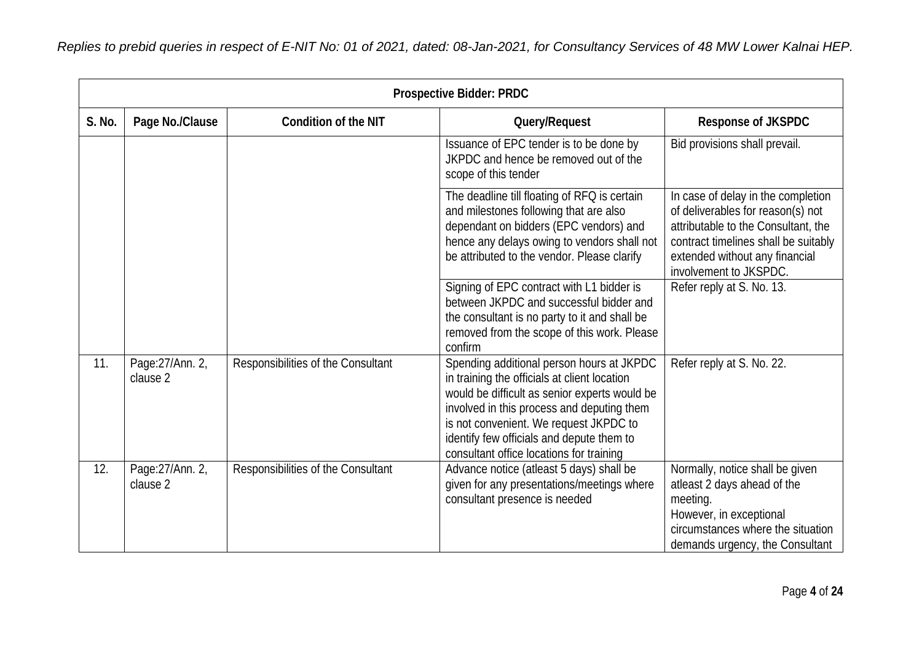|        | <b>Prospective Bidder: PRDC</b> |                                    |                                                                                                                                                                                                                                                                                                                             |                                                                                                                                                                                                                    |
|--------|---------------------------------|------------------------------------|-----------------------------------------------------------------------------------------------------------------------------------------------------------------------------------------------------------------------------------------------------------------------------------------------------------------------------|--------------------------------------------------------------------------------------------------------------------------------------------------------------------------------------------------------------------|
| S. No. | Page No./Clause                 | <b>Condition of the NIT</b>        | Query/Request                                                                                                                                                                                                                                                                                                               | Response of JKSPDC                                                                                                                                                                                                 |
|        |                                 |                                    | Issuance of EPC tender is to be done by<br>JKPDC and hence be removed out of the<br>scope of this tender                                                                                                                                                                                                                    | Bid provisions shall prevail.                                                                                                                                                                                      |
|        |                                 |                                    | The deadline till floating of RFQ is certain<br>and milestones following that are also<br>dependant on bidders (EPC vendors) and<br>hence any delays owing to vendors shall not<br>be attributed to the vendor. Please clarify                                                                                              | In case of delay in the completion<br>of deliverables for reason(s) not<br>attributable to the Consultant, the<br>contract timelines shall be suitably<br>extended without any financial<br>involvement to JKSPDC. |
|        |                                 |                                    | Signing of EPC contract with L1 bidder is<br>between JKPDC and successful bidder and<br>the consultant is no party to it and shall be<br>removed from the scope of this work. Please<br>confirm                                                                                                                             | Refer reply at S. No. 13.                                                                                                                                                                                          |
| 11.    | Page: 27/Ann. 2,<br>clause 2    | Responsibilities of the Consultant | Spending additional person hours at JKPDC<br>in training the officials at client location<br>would be difficult as senior experts would be<br>involved in this process and deputing them<br>is not convenient. We request JKPDC to<br>identify few officials and depute them to<br>consultant office locations for training | Refer reply at S. No. 22.                                                                                                                                                                                          |
| 12.    | Page: 27/Ann. 2,<br>clause 2    | Responsibilities of the Consultant | Advance notice (atleast 5 days) shall be<br>given for any presentations/meetings where<br>consultant presence is needed                                                                                                                                                                                                     | Normally, notice shall be given<br>atleast 2 days ahead of the<br>meeting.<br>However, in exceptional<br>circumstances where the situation<br>demands urgency, the Consultant                                      |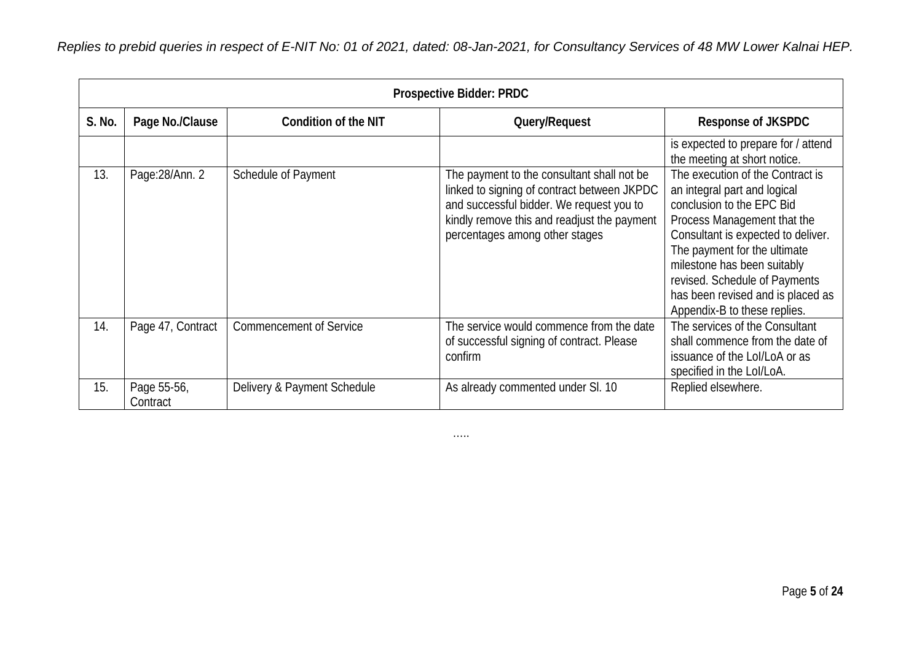|        | <b>Prospective Bidder: PRDC</b> |                                |                                                                                                                                                                                                                        |                                                                                                                                                                                                                                                                                                                                         |  |
|--------|---------------------------------|--------------------------------|------------------------------------------------------------------------------------------------------------------------------------------------------------------------------------------------------------------------|-----------------------------------------------------------------------------------------------------------------------------------------------------------------------------------------------------------------------------------------------------------------------------------------------------------------------------------------|--|
| S. No. | Page No./Clause                 | <b>Condition of the NIT</b>    | Query/Request                                                                                                                                                                                                          | <b>Response of JKSPDC</b>                                                                                                                                                                                                                                                                                                               |  |
|        |                                 |                                |                                                                                                                                                                                                                        | is expected to prepare for / attend<br>the meeting at short notice.                                                                                                                                                                                                                                                                     |  |
| 13.    | Page: 28/Ann. 2                 | Schedule of Payment            | The payment to the consultant shall not be<br>linked to signing of contract between JKPDC<br>and successful bidder. We request you to<br>kindly remove this and readjust the payment<br>percentages among other stages | The execution of the Contract is<br>an integral part and logical<br>conclusion to the EPC Bid<br>Process Management that the<br>Consultant is expected to deliver.<br>The payment for the ultimate<br>milestone has been suitably<br>revised. Schedule of Payments<br>has been revised and is placed as<br>Appendix-B to these replies. |  |
| 14.    | Page 47, Contract               | <b>Commencement of Service</b> | The service would commence from the date<br>of successful signing of contract. Please<br>confirm                                                                                                                       | The services of the Consultant<br>shall commence from the date of<br>issuance of the Lol/LoA or as<br>specified in the Lol/LoA.                                                                                                                                                                                                         |  |
| 15.    | Page 55-56,<br>Contract         | Delivery & Payment Schedule    | As already commented under SI. 10                                                                                                                                                                                      | Replied elsewhere.                                                                                                                                                                                                                                                                                                                      |  |

…..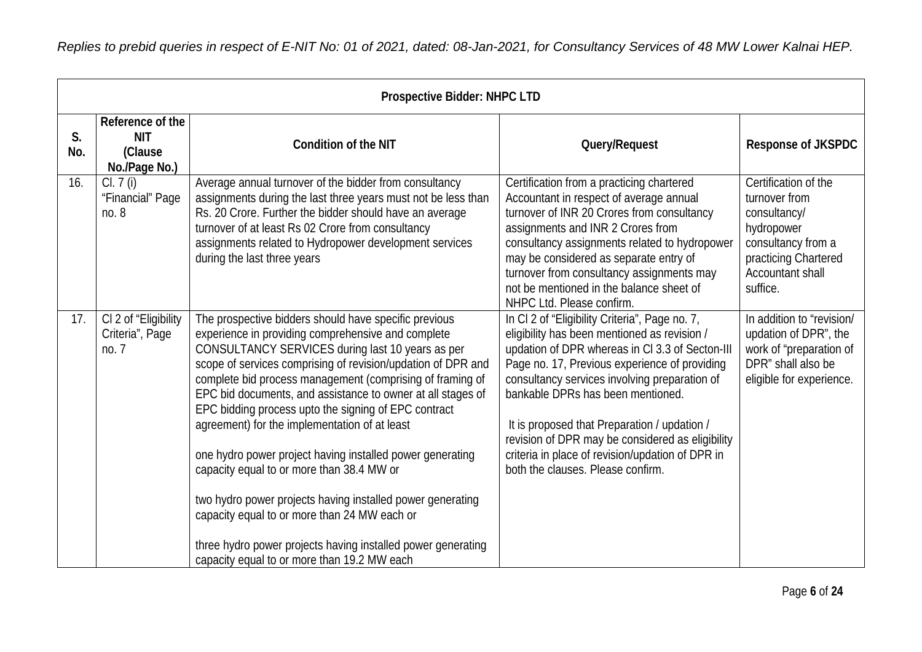|           | <b>Prospective Bidder: NHPC LTD</b>                        |                                                                                                                                                                                                                                                                                                                                                                                                                                                                                                                                                                                                                                                                                                                                                                                                             |                                                                                                                                                                                                                                                                                                                                                                                                                                                                                       |                                                                                                                                                   |  |
|-----------|------------------------------------------------------------|-------------------------------------------------------------------------------------------------------------------------------------------------------------------------------------------------------------------------------------------------------------------------------------------------------------------------------------------------------------------------------------------------------------------------------------------------------------------------------------------------------------------------------------------------------------------------------------------------------------------------------------------------------------------------------------------------------------------------------------------------------------------------------------------------------------|---------------------------------------------------------------------------------------------------------------------------------------------------------------------------------------------------------------------------------------------------------------------------------------------------------------------------------------------------------------------------------------------------------------------------------------------------------------------------------------|---------------------------------------------------------------------------------------------------------------------------------------------------|--|
| S.<br>No. | Reference of the<br><b>NIT</b><br>(Clause<br>No./Page No.) | <b>Condition of the NIT</b>                                                                                                                                                                                                                                                                                                                                                                                                                                                                                                                                                                                                                                                                                                                                                                                 | Query/Request                                                                                                                                                                                                                                                                                                                                                                                                                                                                         | <b>Response of JKSPDC</b>                                                                                                                         |  |
| 16.       | Cl. 7 (i)<br>"Financial" Page<br>no. 8                     | Average annual turnover of the bidder from consultancy<br>assignments during the last three years must not be less than<br>Rs. 20 Crore. Further the bidder should have an average<br>turnover of at least Rs 02 Crore from consultancy<br>assignments related to Hydropower development services<br>during the last three years                                                                                                                                                                                                                                                                                                                                                                                                                                                                            | Certification from a practicing chartered<br>Accountant in respect of average annual<br>turnover of INR 20 Crores from consultancy<br>assignments and INR 2 Crores from<br>consultancy assignments related to hydropower<br>may be considered as separate entry of<br>turnover from consultancy assignments may<br>not be mentioned in the balance sheet of<br>NHPC Ltd. Please confirm.                                                                                              | Certification of the<br>turnover from<br>consultancy/<br>hydropower<br>consultancy from a<br>practicing Chartered<br>Accountant shall<br>suffice. |  |
| 17.       | CI 2 of "Eligibility<br>Criteria", Page<br>no.7            | The prospective bidders should have specific previous<br>experience in providing comprehensive and complete<br>CONSULTANCY SERVICES during last 10 years as per<br>scope of services comprising of revision/updation of DPR and<br>complete bid process management (comprising of framing of<br>EPC bid documents, and assistance to owner at all stages of<br>EPC bidding process upto the signing of EPC contract<br>agreement) for the implementation of at least<br>one hydro power project having installed power generating<br>capacity equal to or more than 38.4 MW or<br>two hydro power projects having installed power generating<br>capacity equal to or more than 24 MW each or<br>three hydro power projects having installed power generating<br>capacity equal to or more than 19.2 MW each | In CI 2 of "Eligibility Criteria", Page no. 7,<br>eligibility has been mentioned as revision /<br>updation of DPR whereas in CI 3.3 of Secton-III<br>Page no. 17, Previous experience of providing<br>consultancy services involving preparation of<br>bankable DPRs has been mentioned.<br>It is proposed that Preparation / updation /<br>revision of DPR may be considered as eligibility<br>criteria in place of revision/updation of DPR in<br>both the clauses. Please confirm. | In addition to "revision/<br>updation of DPR", the<br>work of "preparation of<br>DPR" shall also be<br>eligible for experience.                   |  |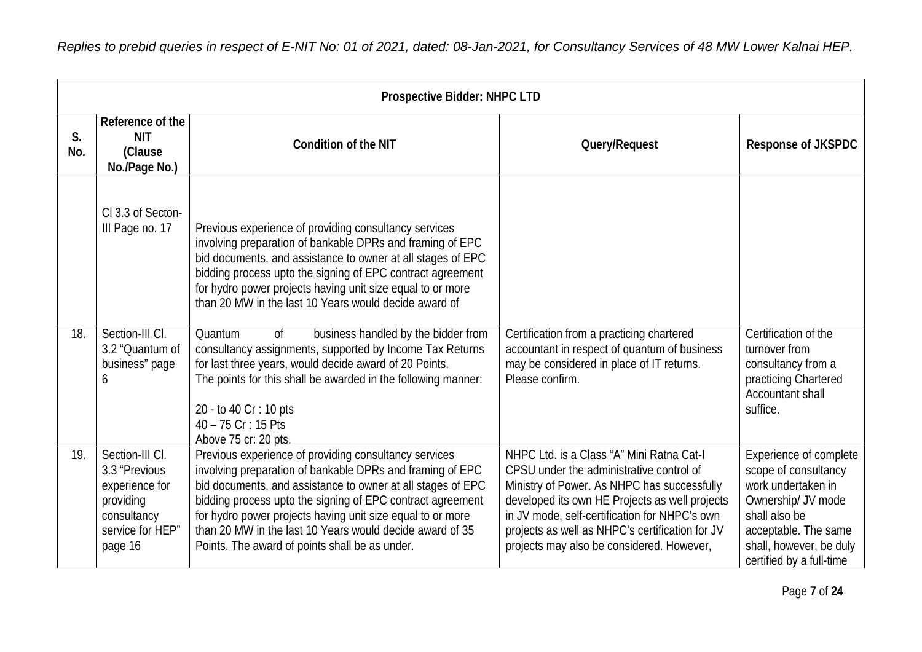*Replies to prebid queries in respect of E-NIT No: 01 of 2021, dated: 08-Jan-2021, for Consultancy Services of 48 MW Lower Kalnai HEP.*

|           | <b>Prospective Bidder: NHPC LTD</b>                                                                           |                                                                                                                                                                                                                                                                                                                                                                                                                             |                                                                                                                                                                                                                                                                                                                                         |                                                                                                                                                                                            |  |
|-----------|---------------------------------------------------------------------------------------------------------------|-----------------------------------------------------------------------------------------------------------------------------------------------------------------------------------------------------------------------------------------------------------------------------------------------------------------------------------------------------------------------------------------------------------------------------|-----------------------------------------------------------------------------------------------------------------------------------------------------------------------------------------------------------------------------------------------------------------------------------------------------------------------------------------|--------------------------------------------------------------------------------------------------------------------------------------------------------------------------------------------|--|
| S.<br>No. | Reference of the<br><b>NIT</b><br>(Clause<br>No./Page No.)                                                    | <b>Condition of the NIT</b>                                                                                                                                                                                                                                                                                                                                                                                                 | Query/Request                                                                                                                                                                                                                                                                                                                           | <b>Response of JKSPDC</b>                                                                                                                                                                  |  |
|           | CI 3.3 of Secton-<br>III Page no. 17                                                                          | Previous experience of providing consultancy services<br>involving preparation of bankable DPRs and framing of EPC<br>bid documents, and assistance to owner at all stages of EPC<br>bidding process upto the signing of EPC contract agreement<br>for hydro power projects having unit size equal to or more<br>than 20 MW in the last 10 Years would decide award of                                                      |                                                                                                                                                                                                                                                                                                                                         |                                                                                                                                                                                            |  |
| 18.       | Section-III CI.<br>3.2 "Quantum of<br>business" page<br>6                                                     | Quantum<br>0f<br>business handled by the bidder from<br>consultancy assignments, supported by Income Tax Returns<br>for last three years, would decide award of 20 Points.<br>The points for this shall be awarded in the following manner:<br>20 - to 40 Cr : 10 pts<br>40 - 75 Cr : 15 Pts<br>Above 75 cr: 20 pts.                                                                                                        | Certification from a practicing chartered<br>accountant in respect of quantum of business<br>may be considered in place of IT returns.<br>Please confirm.                                                                                                                                                                               | Certification of the<br>turnover from<br>consultancy from a<br>practicing Chartered<br>Accountant shall<br>suffice.                                                                        |  |
| 19.       | Section-III CI.<br>3.3 "Previous<br>experience for<br>providing<br>consultancy<br>service for HEP"<br>page 16 | Previous experience of providing consultancy services<br>involving preparation of bankable DPRs and framing of EPC<br>bid documents, and assistance to owner at all stages of EPC<br>bidding process upto the signing of EPC contract agreement<br>for hydro power projects having unit size equal to or more<br>than 20 MW in the last 10 Years would decide award of 35<br>Points. The award of points shall be as under. | NHPC Ltd. is a Class "A" Mini Ratna Cat-I<br>CPSU under the administrative control of<br>Ministry of Power. As NHPC has successfully<br>developed its own HE Projects as well projects<br>in JV mode, self-certification for NHPC's own<br>projects as well as NHPC's certification for JV<br>projects may also be considered. However, | Experience of complete<br>scope of consultancy<br>work undertaken in<br>Ownership/ JV mode<br>shall also be<br>acceptable. The same<br>shall, however, be duly<br>certified by a full-time |  |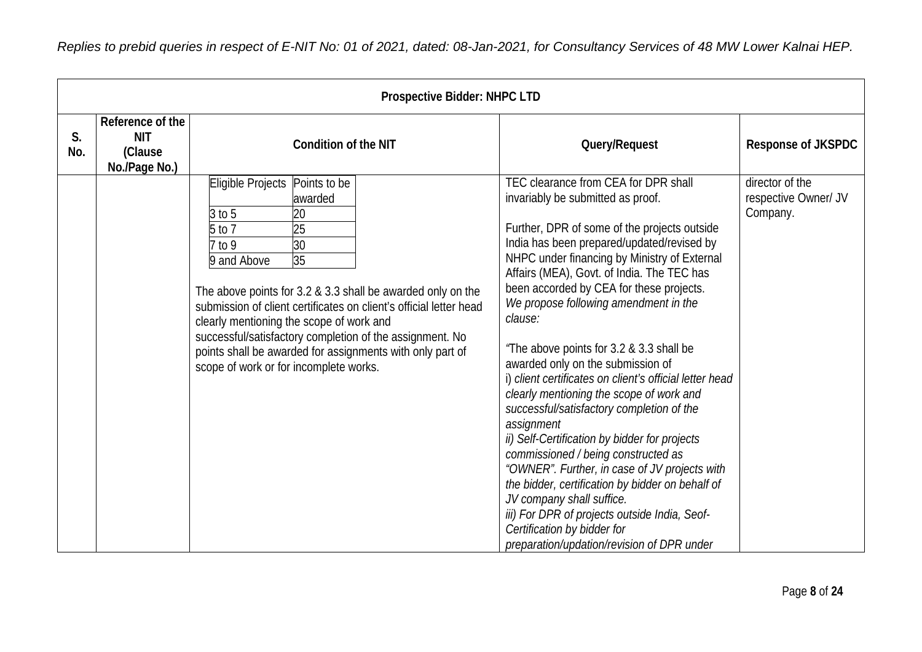|           | <b>Prospective Bidder: NHPC LTD</b>                        |                                                                                                                                                                                                                                                                                                                                                                                                                                                                                        |                                                                                                                                                                                                                                                                                                                                                                                                                                                                                                                                                                                                                                                                                                                                                                                                                                                                                                                                                                                  |                                                     |  |
|-----------|------------------------------------------------------------|----------------------------------------------------------------------------------------------------------------------------------------------------------------------------------------------------------------------------------------------------------------------------------------------------------------------------------------------------------------------------------------------------------------------------------------------------------------------------------------|----------------------------------------------------------------------------------------------------------------------------------------------------------------------------------------------------------------------------------------------------------------------------------------------------------------------------------------------------------------------------------------------------------------------------------------------------------------------------------------------------------------------------------------------------------------------------------------------------------------------------------------------------------------------------------------------------------------------------------------------------------------------------------------------------------------------------------------------------------------------------------------------------------------------------------------------------------------------------------|-----------------------------------------------------|--|
| S.<br>No. | Reference of the<br><b>NIT</b><br>(Clause<br>No./Page No.) | <b>Condition of the NIT</b>                                                                                                                                                                                                                                                                                                                                                                                                                                                            | Query/Request                                                                                                                                                                                                                                                                                                                                                                                                                                                                                                                                                                                                                                                                                                                                                                                                                                                                                                                                                                    | Response of JKSPDC                                  |  |
|           |                                                            | Eligible Projects<br>Points to be<br>awarded<br>$3$ to $5$<br>20<br>5 to 7<br>$\overline{25}$<br>30<br>7 to 9<br>35<br>9 and Above<br>The above points for 3.2 & 3.3 shall be awarded only on the<br>submission of client certificates on client's official letter head<br>clearly mentioning the scope of work and<br>successful/satisfactory completion of the assignment. No<br>points shall be awarded for assignments with only part of<br>scope of work or for incomplete works. | TEC clearance from CEA for DPR shall<br>invariably be submitted as proof.<br>Further, DPR of some of the projects outside<br>India has been prepared/updated/revised by<br>NHPC under financing by Ministry of External<br>Affairs (MEA), Govt. of India. The TEC has<br>been accorded by CEA for these projects.<br>We propose following amendment in the<br>clause:<br>"The above points for 3.2 & 3.3 shall be<br>awarded only on the submission of<br>i) client certificates on client's official letter head<br>clearly mentioning the scope of work and<br>successful/satisfactory completion of the<br>assignment<br>ii) Self-Certification by bidder for projects<br>commissioned / being constructed as<br>"OWNER". Further, in case of JV projects with<br>the bidder, certification by bidder on behalf of<br>JV company shall suffice.<br>iii) For DPR of projects outside India, Seof-<br>Certification by bidder for<br>preparation/updation/revision of DPR under | director of the<br>respective Owner/ JV<br>Company. |  |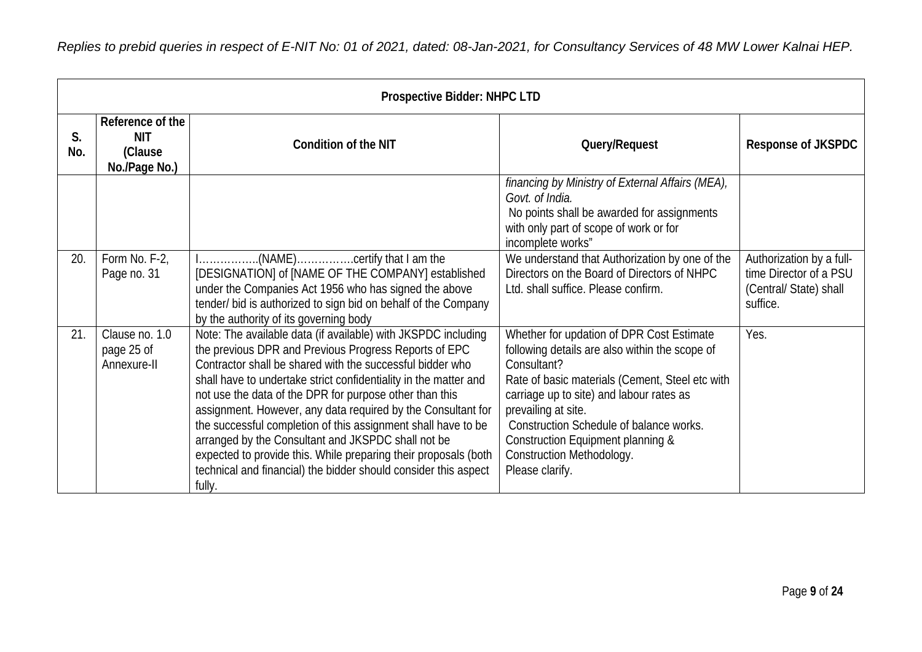|           | Prospective Bidder: NHPC LTD                               |                                                                                                                                                                                                                                                                                                                                                                                                                                                                                                                                                                                                                                                           |                                                                                                                                                                                                                                                                                                                                                                  |                                                                                         |  |
|-----------|------------------------------------------------------------|-----------------------------------------------------------------------------------------------------------------------------------------------------------------------------------------------------------------------------------------------------------------------------------------------------------------------------------------------------------------------------------------------------------------------------------------------------------------------------------------------------------------------------------------------------------------------------------------------------------------------------------------------------------|------------------------------------------------------------------------------------------------------------------------------------------------------------------------------------------------------------------------------------------------------------------------------------------------------------------------------------------------------------------|-----------------------------------------------------------------------------------------|--|
| S.<br>No. | Reference of the<br><b>NIT</b><br>(Clause<br>No./Page No.) | <b>Condition of the NIT</b>                                                                                                                                                                                                                                                                                                                                                                                                                                                                                                                                                                                                                               | Query/Request                                                                                                                                                                                                                                                                                                                                                    | <b>Response of JKSPDC</b>                                                               |  |
|           |                                                            |                                                                                                                                                                                                                                                                                                                                                                                                                                                                                                                                                                                                                                                           | financing by Ministry of External Affairs (MEA),<br>Govt. of India.<br>No points shall be awarded for assignments<br>with only part of scope of work or for<br>incomplete works"                                                                                                                                                                                 |                                                                                         |  |
| 20.       | Form No. F-2,<br>Page no. 31                               | I(NAME)certify that I am the<br>[DESIGNATION] of [NAME OF THE COMPANY] established<br>under the Companies Act 1956 who has signed the above<br>tender/ bid is authorized to sign bid on behalf of the Company<br>by the authority of its governing body                                                                                                                                                                                                                                                                                                                                                                                                   | We understand that Authorization by one of the<br>Directors on the Board of Directors of NHPC<br>Ltd. shall suffice. Please confirm.                                                                                                                                                                                                                             | Authorization by a full-<br>time Director of a PSU<br>(Central/State) shall<br>suffice. |  |
| 21.       | Clause no. 1.0<br>page 25 of<br>Annexure-II                | Note: The available data (if available) with JKSPDC including<br>the previous DPR and Previous Progress Reports of EPC<br>Contractor shall be shared with the successful bidder who<br>shall have to undertake strict confidentiality in the matter and<br>not use the data of the DPR for purpose other than this<br>assignment. However, any data required by the Consultant for<br>the successful completion of this assignment shall have to be<br>arranged by the Consultant and JKSPDC shall not be<br>expected to provide this. While preparing their proposals (both<br>technical and financial) the bidder should consider this aspect<br>fully. | Whether for updation of DPR Cost Estimate<br>following details are also within the scope of<br>Consultant?<br>Rate of basic materials (Cement, Steel etc with<br>carriage up to site) and labour rates as<br>prevailing at site.<br>Construction Schedule of balance works.<br>Construction Equipment planning &<br>Construction Methodology.<br>Please clarify. | Yes.                                                                                    |  |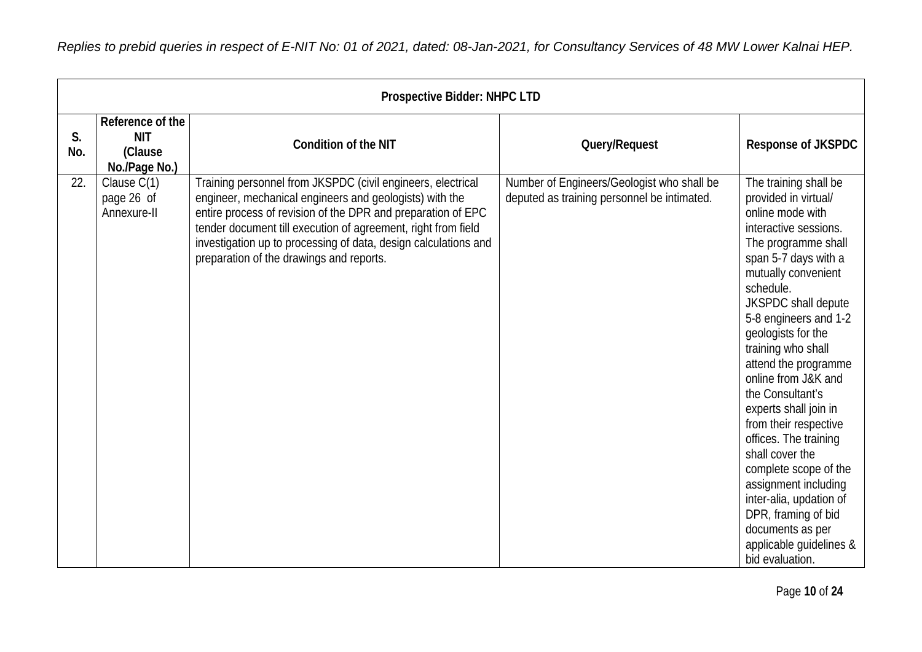|           | <b>Prospective Bidder: NHPC LTD</b>                        |                                                                                                                                                                                                                                                                                                                                                                        |                                                                                           |                                                                                                                                                                                                                                                                                                                                                                                                                                                                                                                                                                                                                 |  |
|-----------|------------------------------------------------------------|------------------------------------------------------------------------------------------------------------------------------------------------------------------------------------------------------------------------------------------------------------------------------------------------------------------------------------------------------------------------|-------------------------------------------------------------------------------------------|-----------------------------------------------------------------------------------------------------------------------------------------------------------------------------------------------------------------------------------------------------------------------------------------------------------------------------------------------------------------------------------------------------------------------------------------------------------------------------------------------------------------------------------------------------------------------------------------------------------------|--|
| S.<br>No. | Reference of the<br><b>NIT</b><br>(Clause<br>No./Page No.) | <b>Condition of the NIT</b>                                                                                                                                                                                                                                                                                                                                            | Query/Request                                                                             | Response of JKSPDC                                                                                                                                                                                                                                                                                                                                                                                                                                                                                                                                                                                              |  |
| 22.       | Clause C(1)<br>page 26 of<br>Annexure-II                   | Training personnel from JKSPDC (civil engineers, electrical<br>engineer, mechanical engineers and geologists) with the<br>entire process of revision of the DPR and preparation of EPC<br>tender document till execution of agreement, right from field<br>investigation up to processing of data, design calculations and<br>preparation of the drawings and reports. | Number of Engineers/Geologist who shall be<br>deputed as training personnel be intimated. | The training shall be<br>provided in virtual/<br>online mode with<br>interactive sessions.<br>The programme shall<br>span 5-7 days with a<br>mutually convenient<br>schedule.<br>JKSPDC shall depute<br>5-8 engineers and 1-2<br>geologists for the<br>training who shall<br>attend the programme<br>online from J&K and<br>the Consultant's<br>experts shall join in<br>from their respective<br>offices. The training<br>shall cover the<br>complete scope of the<br>assignment including<br>inter-alia, updation of<br>DPR, framing of bid<br>documents as per<br>applicable guidelines &<br>bid evaluation. |  |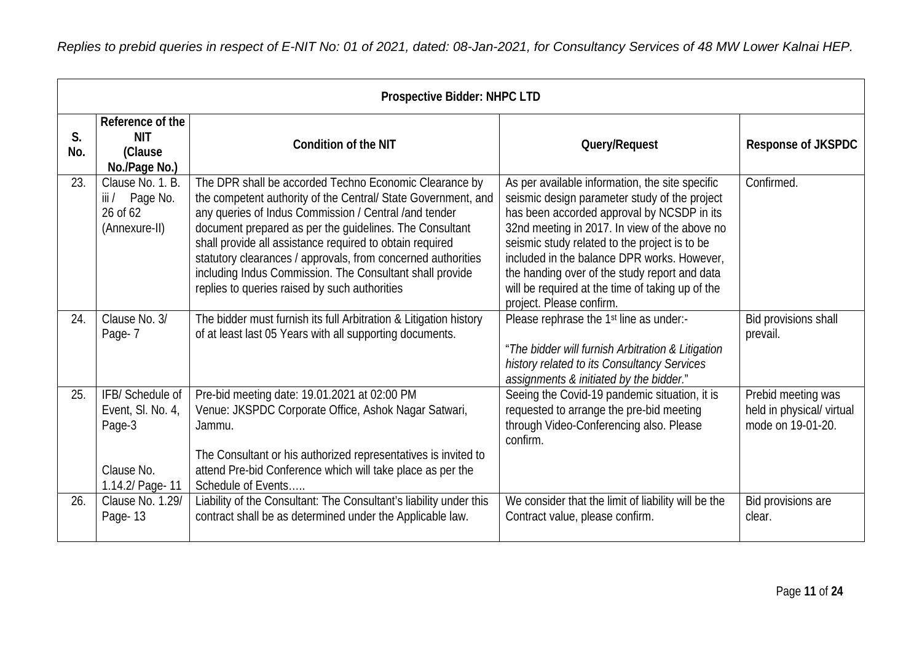|           | <b>Prospective Bidder: NHPC LTD</b>                                              |                                                                                                                                                                                                                                                                                                                                                                                                                                                                                      |                                                                                                                                                                                                                                                                                                                                                                                                                                  |                                                                      |  |
|-----------|----------------------------------------------------------------------------------|--------------------------------------------------------------------------------------------------------------------------------------------------------------------------------------------------------------------------------------------------------------------------------------------------------------------------------------------------------------------------------------------------------------------------------------------------------------------------------------|----------------------------------------------------------------------------------------------------------------------------------------------------------------------------------------------------------------------------------------------------------------------------------------------------------------------------------------------------------------------------------------------------------------------------------|----------------------------------------------------------------------|--|
| S.<br>No. | Reference of the<br><b>NIT</b><br>(Clause<br>No./Page No.)                       | <b>Condition of the NIT</b>                                                                                                                                                                                                                                                                                                                                                                                                                                                          | Query/Request                                                                                                                                                                                                                                                                                                                                                                                                                    | <b>Response of JKSPDC</b>                                            |  |
| 23.       | Clause No. 1. B.<br>iii/<br>Page No.<br>26 of 62<br>(Annexure-II)                | The DPR shall be accorded Techno Economic Clearance by<br>the competent authority of the Central/ State Government, and<br>any queries of Indus Commission / Central /and tender<br>document prepared as per the guidelines. The Consultant<br>shall provide all assistance required to obtain required<br>statutory clearances / approvals, from concerned authorities<br>including Indus Commission. The Consultant shall provide<br>replies to queries raised by such authorities | As per available information, the site specific<br>seismic design parameter study of the project<br>has been accorded approval by NCSDP in its<br>32nd meeting in 2017. In view of the above no<br>seismic study related to the project is to be<br>included in the balance DPR works. However.<br>the handing over of the study report and data<br>will be required at the time of taking up of the<br>project. Please confirm. | Confirmed.                                                           |  |
| 24.       | Clause No. 3/<br>Page-7                                                          | The bidder must furnish its full Arbitration & Litigation history<br>of at least last 05 Years with all supporting documents.                                                                                                                                                                                                                                                                                                                                                        | Please rephrase the 1 <sup>st</sup> line as under:-<br>"The bidder will furnish Arbitration & Litigation<br>history related to its Consultancy Services<br>assignments & initiated by the bidder."                                                                                                                                                                                                                               | Bid provisions shall<br>prevail.                                     |  |
| 25.       | IFB/Schedule of<br>Event, SI. No. 4,<br>Page-3<br>Clause No.<br>1.14.2/ Page- 11 | Pre-bid meeting date: 19.01.2021 at 02:00 PM<br>Venue: JKSPDC Corporate Office, Ashok Nagar Satwari,<br>Jammu.<br>The Consultant or his authorized representatives is invited to<br>attend Pre-bid Conference which will take place as per the<br>Schedule of Events                                                                                                                                                                                                                 | Seeing the Covid-19 pandemic situation, it is<br>requested to arrange the pre-bid meeting<br>through Video-Conferencing also. Please<br>confirm.                                                                                                                                                                                                                                                                                 | Prebid meeting was<br>held in physical/ virtual<br>mode on 19-01-20. |  |
| 26.       | Clause No. 1.29/<br>Page-13                                                      | Liability of the Consultant: The Consultant's liability under this<br>contract shall be as determined under the Applicable law.                                                                                                                                                                                                                                                                                                                                                      | We consider that the limit of liability will be the<br>Contract value, please confirm.                                                                                                                                                                                                                                                                                                                                           | Bid provisions are<br>clear.                                         |  |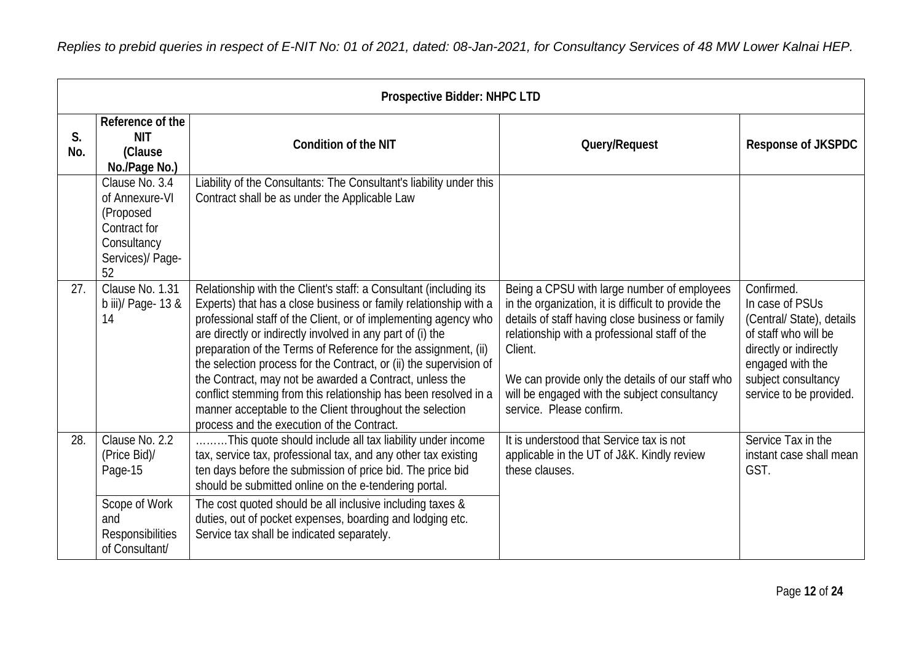|           | <b>Prospective Bidder: NHPC LTD</b>                                                                    |                                                                                                                                                                                                                                                                                                                                                                                                                                                                                                                                                                                                                                                        |                                                                                                                                                                                                                                                                                                                                                    |                                                                                                                                                                                    |  |
|-----------|--------------------------------------------------------------------------------------------------------|--------------------------------------------------------------------------------------------------------------------------------------------------------------------------------------------------------------------------------------------------------------------------------------------------------------------------------------------------------------------------------------------------------------------------------------------------------------------------------------------------------------------------------------------------------------------------------------------------------------------------------------------------------|----------------------------------------------------------------------------------------------------------------------------------------------------------------------------------------------------------------------------------------------------------------------------------------------------------------------------------------------------|------------------------------------------------------------------------------------------------------------------------------------------------------------------------------------|--|
| S.<br>No. | Reference of the<br><b>NIT</b><br>(Clause<br>No./Page No.)                                             | <b>Condition of the NIT</b>                                                                                                                                                                                                                                                                                                                                                                                                                                                                                                                                                                                                                            | Query/Request                                                                                                                                                                                                                                                                                                                                      | Response of JKSPDC                                                                                                                                                                 |  |
|           | Clause No. 3.4<br>of Annexure-VI<br>(Proposed<br>Contract for<br>Consultancy<br>Services)/ Page-<br>52 | Liability of the Consultants: The Consultant's liability under this<br>Contract shall be as under the Applicable Law                                                                                                                                                                                                                                                                                                                                                                                                                                                                                                                                   |                                                                                                                                                                                                                                                                                                                                                    |                                                                                                                                                                                    |  |
| 27.       | Clause No. 1.31<br>b iii)/ Page- $13 &$<br>14                                                          | Relationship with the Client's staff: a Consultant (including its<br>Experts) that has a close business or family relationship with a<br>professional staff of the Client, or of implementing agency who<br>are directly or indirectly involved in any part of (i) the<br>preparation of the Terms of Reference for the assignment, (ii)<br>the selection process for the Contract, or (ii) the supervision of<br>the Contract, may not be awarded a Contract, unless the<br>conflict stemming from this relationship has been resolved in a<br>manner acceptable to the Client throughout the selection<br>process and the execution of the Contract. | Being a CPSU with large number of employees<br>in the organization, it is difficult to provide the<br>details of staff having close business or family<br>relationship with a professional staff of the<br>Client.<br>We can provide only the details of our staff who<br>will be engaged with the subject consultancy<br>service. Please confirm. | Confirmed.<br>In case of PSUs<br>(Central/ State), details<br>of staff who will be<br>directly or indirectly<br>engaged with the<br>subject consultancy<br>service to be provided. |  |
| 28.       | Clause No. 2.2<br>(Price Bid)/<br>Page-15<br>Scope of Work<br>and                                      | This quote should include all tax liability under income<br>tax, service tax, professional tax, and any other tax existing<br>ten days before the submission of price bid. The price bid<br>should be submitted online on the e-tendering portal.<br>The cost quoted should be all inclusive including taxes &<br>duties, out of pocket expenses, boarding and lodging etc.                                                                                                                                                                                                                                                                            | It is understood that Service tax is not<br>applicable in the UT of J&K. Kindly review<br>these clauses.                                                                                                                                                                                                                                           | Service Tax in the<br>instant case shall mean<br>GST.                                                                                                                              |  |
|           | <b>Responsibilities</b><br>of Consultant/                                                              | Service tax shall be indicated separately.                                                                                                                                                                                                                                                                                                                                                                                                                                                                                                                                                                                                             |                                                                                                                                                                                                                                                                                                                                                    |                                                                                                                                                                                    |  |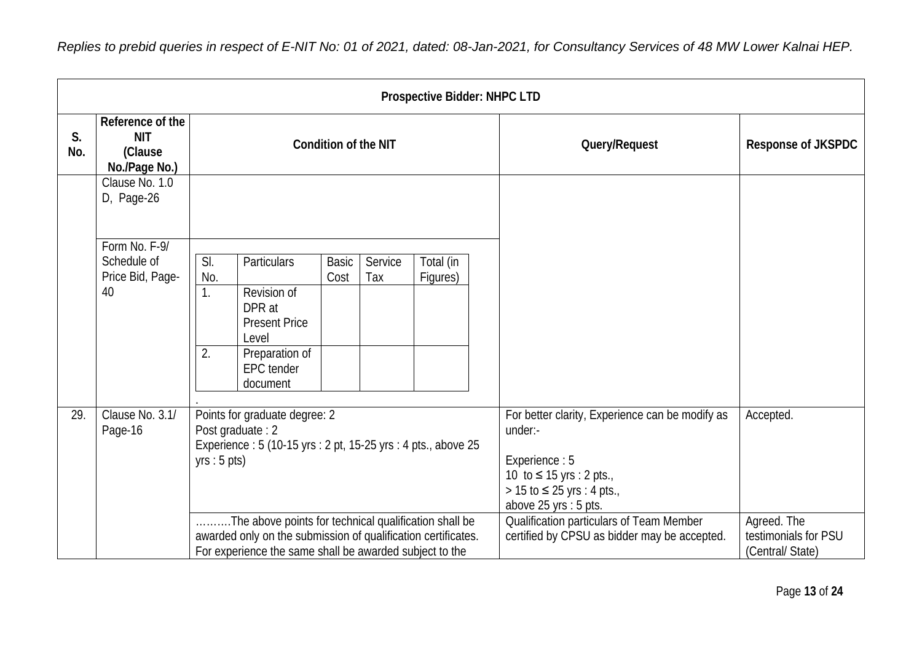*Replies to prebid queries in respect of E-NIT No: 01 of 2021, dated: 08-Jan-2021, for Consultancy Services of 48 MW Lower Kalnai HEP.*

|           | <b>Prospective Bidder: NHPC LTD</b>                        |                        |                                                                                                                                                                                              |                             |                                                                                                                                                                                                              |                          |                                              |                                         |
|-----------|------------------------------------------------------------|------------------------|----------------------------------------------------------------------------------------------------------------------------------------------------------------------------------------------|-----------------------------|--------------------------------------------------------------------------------------------------------------------------------------------------------------------------------------------------------------|--------------------------|----------------------------------------------|-----------------------------------------|
| S.<br>No. | Reference of the<br><b>NIT</b><br>(Clause<br>No./Page No.) |                        |                                                                                                                                                                                              | <b>Condition of the NIT</b> |                                                                                                                                                                                                              |                          | Query/Request                                | Response of JKSPDC                      |
|           | Clause No. 1.0<br>D, Page-26                               |                        |                                                                                                                                                                                              |                             |                                                                                                                                                                                                              |                          |                                              |                                         |
|           | Form No. F-9/<br>Schedule of<br>Price Bid, Page-<br>40     | SI.<br>No.<br>1.<br>2. | Particulars<br>Revision of<br>DPR at<br><b>Present Price</b><br>Level<br>Preparation of<br><b>EPC</b> tender<br>document                                                                     | <b>Basic</b><br>Cost        | Service<br>Tax                                                                                                                                                                                               | Total (in<br>Figures)    |                                              |                                         |
| 29.       | Clause No. 3.1/<br>Page-16                                 |                        | Points for graduate degree: 2<br>Post graduate: 2<br>Experience : 5 (10-15 yrs : 2 pt, 15-25 yrs : 4 pts., above 25<br>yrs : 5 pts)<br>The above points for technical qualification shall be |                             | For better clarity, Experience can be modify as<br>under:-<br>Experience: 5<br>10 to $≤ 15$ yrs : 2 pts.,<br>> 15 to ≤ 25 yrs : 4 pts.,<br>above 25 yrs : 5 pts.<br>Qualification particulars of Team Member | Accepted.<br>Agreed. The |                                              |                                         |
|           |                                                            |                        | awarded only on the submission of qualification certificates.<br>For experience the same shall be awarded subject to the                                                                     |                             |                                                                                                                                                                                                              |                          | certified by CPSU as bidder may be accepted. | testimonials for PSU<br>(Central/State) |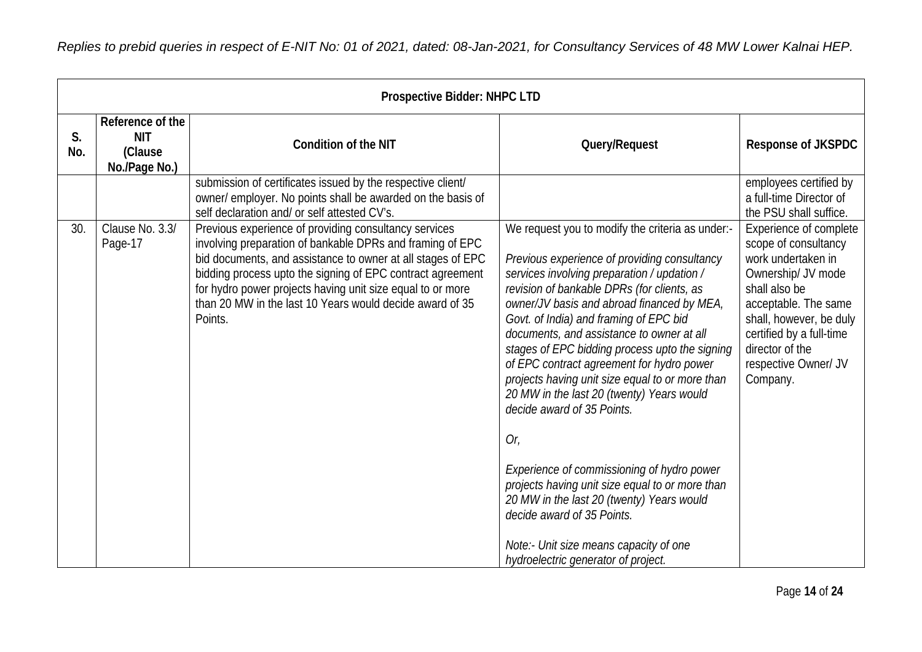|           |                                                            | <b>Prospective Bidder: NHPC LTD</b>                                                                                                                                                                                                                                                                                                                                                  |                                                                                                                                                                                                                                                                                                                                                                                                                                                                                                                                                                                                                                                                                                                                                                                                                                     |                                                                                                                                                                                                                                                   |
|-----------|------------------------------------------------------------|--------------------------------------------------------------------------------------------------------------------------------------------------------------------------------------------------------------------------------------------------------------------------------------------------------------------------------------------------------------------------------------|-------------------------------------------------------------------------------------------------------------------------------------------------------------------------------------------------------------------------------------------------------------------------------------------------------------------------------------------------------------------------------------------------------------------------------------------------------------------------------------------------------------------------------------------------------------------------------------------------------------------------------------------------------------------------------------------------------------------------------------------------------------------------------------------------------------------------------------|---------------------------------------------------------------------------------------------------------------------------------------------------------------------------------------------------------------------------------------------------|
| S.<br>No. | Reference of the<br><b>NIT</b><br>(Clause<br>No./Page No.) | <b>Condition of the NIT</b>                                                                                                                                                                                                                                                                                                                                                          | Query/Request                                                                                                                                                                                                                                                                                                                                                                                                                                                                                                                                                                                                                                                                                                                                                                                                                       | <b>Response of JKSPDC</b>                                                                                                                                                                                                                         |
|           |                                                            | submission of certificates issued by the respective client/<br>owner/ employer. No points shall be awarded on the basis of<br>self declaration and/ or self attested CV's.                                                                                                                                                                                                           |                                                                                                                                                                                                                                                                                                                                                                                                                                                                                                                                                                                                                                                                                                                                                                                                                                     | employees certified by<br>a full-time Director of<br>the PSU shall suffice.                                                                                                                                                                       |
| 30.       | Clause No. 3.3/<br>Page-17                                 | Previous experience of providing consultancy services<br>involving preparation of bankable DPRs and framing of EPC<br>bid documents, and assistance to owner at all stages of EPC<br>bidding process upto the signing of EPC contract agreement<br>for hydro power projects having unit size equal to or more<br>than 20 MW in the last 10 Years would decide award of 35<br>Points. | We request you to modify the criteria as under:-<br>Previous experience of providing consultancy<br>services involving preparation / updation /<br>revision of bankable DPRs (for clients, as<br>owner/JV basis and abroad financed by MEA,<br>Govt. of India) and framing of EPC bid<br>documents, and assistance to owner at all<br>stages of EPC bidding process upto the signing<br>of EPC contract agreement for hydro power<br>projects having unit size equal to or more than<br>20 MW in the last 20 (twenty) Years would<br>decide award of 35 Points.<br>Or,<br>Experience of commissioning of hydro power<br>projects having unit size equal to or more than<br>20 MW in the last 20 (twenty) Years would<br>decide award of 35 Points.<br>Note:- Unit size means capacity of one<br>hydroelectric generator of project. | Experience of complete<br>scope of consultancy<br>work undertaken in<br>Ownership/ JV mode<br>shall also be<br>acceptable. The same<br>shall, however, be duly<br>certified by a full-time<br>director of the<br>respective Owner/ JV<br>Company. |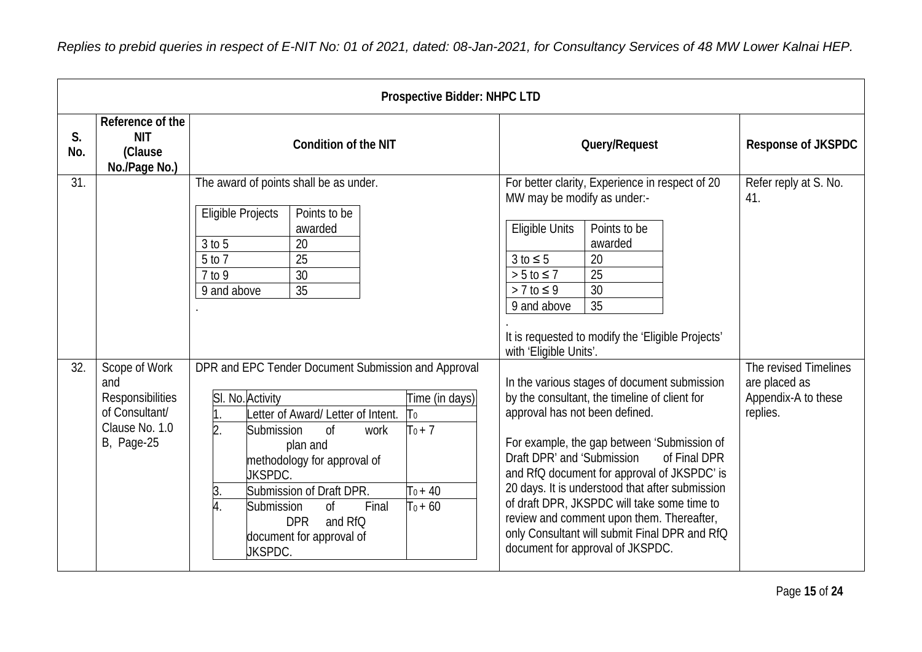|           |                                                                                                    | <b>Prospective Bidder: NHPC LTD</b>                                                                                                                                                                                                                                                                                                                                                                                                                             |                                                                                                                                                                                                                                                                                                                                                                                                                                                                                                                 |                                                                           |
|-----------|----------------------------------------------------------------------------------------------------|-----------------------------------------------------------------------------------------------------------------------------------------------------------------------------------------------------------------------------------------------------------------------------------------------------------------------------------------------------------------------------------------------------------------------------------------------------------------|-----------------------------------------------------------------------------------------------------------------------------------------------------------------------------------------------------------------------------------------------------------------------------------------------------------------------------------------------------------------------------------------------------------------------------------------------------------------------------------------------------------------|---------------------------------------------------------------------------|
| S.<br>No. | Reference of the<br><b>NIT</b><br>(Clause<br>No./Page No.)                                         | <b>Condition of the NIT</b>                                                                                                                                                                                                                                                                                                                                                                                                                                     | Query/Request                                                                                                                                                                                                                                                                                                                                                                                                                                                                                                   | <b>Response of JKSPDC</b>                                                 |
| 31.       |                                                                                                    | The award of points shall be as under.<br>Eligible Projects<br>Points to be<br>awarded<br>$3$ to $5$<br>20<br>5 to 7<br>25<br>30<br>7 to 9<br>35<br>9 and above                                                                                                                                                                                                                                                                                                 | For better clarity, Experience in respect of 20<br>MW may be modify as under:-<br><b>Eligible Units</b><br>Points to be<br>awarded<br>20<br>$3 to \leq 5$<br>25<br>$> 5$ to $\leq 7$<br>30<br>$> 7$ to $\leq 9$<br>35<br>9 and above<br>It is requested to modify the 'Eligible Projects'<br>with 'Eligible Units'.                                                                                                                                                                                             | Refer reply at S. No.<br>41.                                              |
| 32.       | Scope of Work<br>and<br>Responsibilities<br>of Consultant/<br>Clause No. 1.0<br><b>B</b> , Page-25 | DPR and EPC Tender Document Submission and Approval<br>SI. No. Activity<br>Time (in days)<br>Letter of Award/ Letter of Intent.<br>$\mathsf{T}_0$<br>$T_0 + 7$<br>$\overline{2}$ .<br>Submission<br>0 <sup>f</sup><br>work<br>plan and<br>methodology for approval of<br><b>JKSPDC.</b><br>Submission of Draft DPR.<br>$T_0 + 40$<br>3.<br>$T_0 + 60$<br>0f<br>Final<br>Submission<br>4.<br><b>DPR</b><br>and RfQ<br>document for approval of<br><b>JKSPDC.</b> | In the various stages of document submission<br>by the consultant, the timeline of client for<br>approval has not been defined.<br>For example, the gap between 'Submission of<br>Draft DPR' and 'Submission<br>of Final DPR<br>and RfQ document for approval of JKSPDC' is<br>20 days. It is understood that after submission<br>of draft DPR, JKSPDC will take some time to<br>review and comment upon them. Thereafter,<br>only Consultant will submit Final DPR and RfQ<br>document for approval of JKSPDC. | The revised Timelines<br>are placed as<br>Appendix-A to these<br>replies. |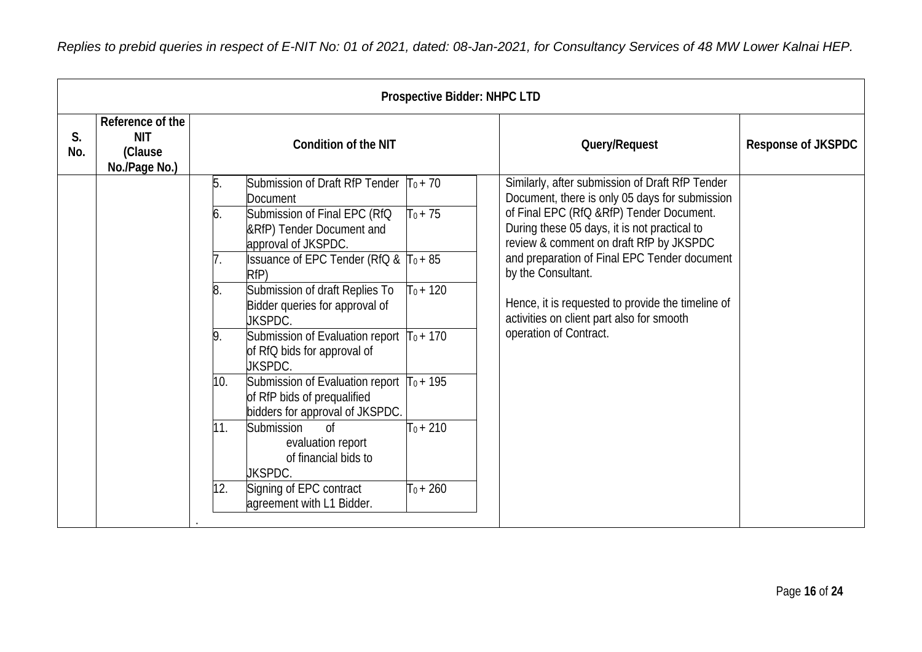|           |                                                            |     |                                                                                                               | <b>Prospective Bidder: NHPC LTD</b> |                                                                                                                                     |                           |
|-----------|------------------------------------------------------------|-----|---------------------------------------------------------------------------------------------------------------|-------------------------------------|-------------------------------------------------------------------------------------------------------------------------------------|---------------------------|
| S.<br>No. | Reference of the<br><b>NIT</b><br>(Clause<br>No./Page No.) |     | <b>Condition of the NIT</b>                                                                                   |                                     | Query/Request                                                                                                                       | <b>Response of JKSPDC</b> |
|           |                                                            | 5.  | Submission of Draft RfP Tender $ T_0 + 70 $<br>Document                                                       |                                     | Similarly, after submission of Draft RfP Tender<br>Document, there is only 05 days for submission                                   |                           |
|           |                                                            | 6.  | Submission of Final EPC (RfQ<br>&RfP) Tender Document and<br>approval of JKSPDC.                              | $T_0 + 75$                          | of Final EPC (RfQ &RfP) Tender Document.<br>During these 05 days, it is not practical to<br>review & comment on draft RfP by JKSPDC |                           |
|           |                                                            |     | <b>Issuance of EPC Tender (RfQ &amp; <math> T_0 + 85 </math></b><br>RfP)                                      |                                     | and preparation of Final EPC Tender document<br>by the Consultant.                                                                  |                           |
|           |                                                            | 8.  | Submission of draft Replies To<br>Bidder queries for approval of<br><b>JKSPDC.</b>                            | $T_0 + 120$                         | Hence, it is requested to provide the timeline of<br>activities on client part also for smooth                                      |                           |
|           |                                                            | 9.  | Submission of Evaluation report $T_0 + 170$<br>of RfQ bids for approval of<br><b>JKSPDC.</b>                  |                                     | operation of Contract.                                                                                                              |                           |
|           |                                                            | 10. | Submission of Evaluation report $T_0 + 195$<br>of RfP bids of prequalified<br>bidders for approval of JKSPDC. |                                     |                                                                                                                                     |                           |
|           |                                                            | 11. | 0 <sup>f</sup><br>Submission<br>evaluation report<br>of financial bids to<br><b>JKSPDC.</b>                   | $T_0 + 210$                         |                                                                                                                                     |                           |
|           |                                                            | 12. | Signing of EPC contract<br>agreement with L1 Bidder.                                                          | $T_0 + 260$                         |                                                                                                                                     |                           |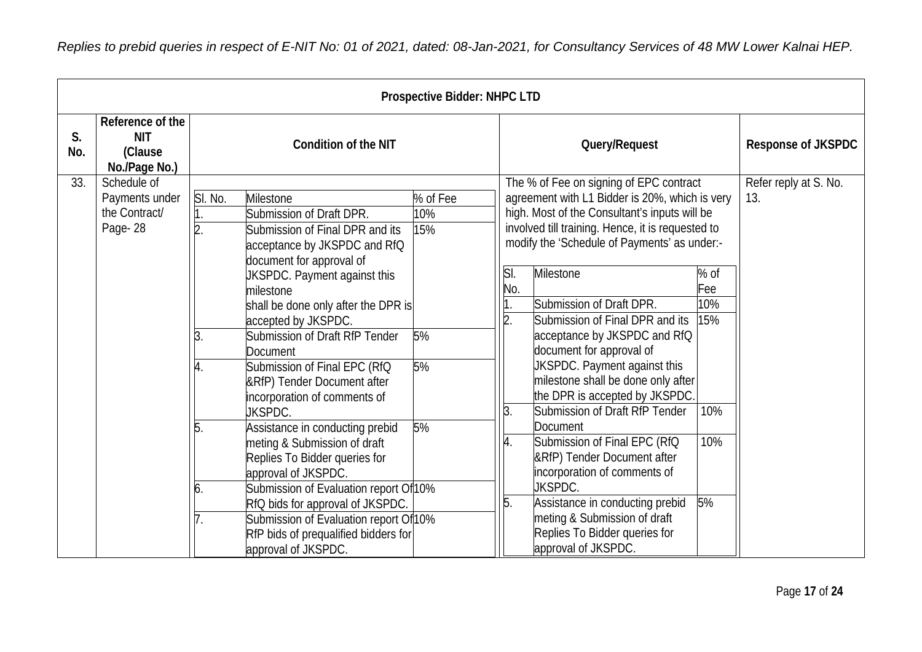|           |                                                            |                     |                                                                                                                                                                                                                                                                                                                                                                                                                                                                                                                                                                                                                                                                                                                                             | <b>Prospective Bidder: NHPC LTD</b>      |                                            |                                                                                                                                                                                                                                                                                                                                                                                                                                                                                                                                                                                                                                                                                                                                                                                           |                                               |                              |
|-----------|------------------------------------------------------------|---------------------|---------------------------------------------------------------------------------------------------------------------------------------------------------------------------------------------------------------------------------------------------------------------------------------------------------------------------------------------------------------------------------------------------------------------------------------------------------------------------------------------------------------------------------------------------------------------------------------------------------------------------------------------------------------------------------------------------------------------------------------------|------------------------------------------|--------------------------------------------|-------------------------------------------------------------------------------------------------------------------------------------------------------------------------------------------------------------------------------------------------------------------------------------------------------------------------------------------------------------------------------------------------------------------------------------------------------------------------------------------------------------------------------------------------------------------------------------------------------------------------------------------------------------------------------------------------------------------------------------------------------------------------------------------|-----------------------------------------------|------------------------------|
| S.<br>No. | Reference of the<br><b>NIT</b><br>(Clause<br>No./Page No.) |                     | <b>Condition of the NIT</b>                                                                                                                                                                                                                                                                                                                                                                                                                                                                                                                                                                                                                                                                                                                 |                                          | Query/Request                              |                                                                                                                                                                                                                                                                                                                                                                                                                                                                                                                                                                                                                                                                                                                                                                                           |                                               | <b>Response of JKSPDC</b>    |
| 33.       | Schedule of<br>Payments under<br>the Contract/<br>Page-28  | SI. No.<br>5.<br>6. | Milestone<br>Submission of Draft DPR.<br>Submission of Final DPR and its<br>acceptance by JKSPDC and RfQ<br>document for approval of<br>UKSPDC. Payment against this<br>milestone<br>shall be done only after the DPR is<br>accepted by JKSPDC.<br>Submission of Draft RfP Tender<br>Document<br>Submission of Final EPC (RfQ<br>&RfP) Tender Document after<br>incorporation of comments of<br><b>JKSPDC.</b><br>Assistance in conducting prebid<br>meting & Submission of draft<br>Replies To Bidder queries for<br>approval of JKSPDC.<br>Submission of Evaluation report Of 10%<br>RfQ bids for approval of JKSPDC.<br>Submission of Evaluation report Of <sup>10%</sup><br>RfP bids of prequalified bidders for<br>approval of JKSPDC. | % of Fee<br>10%<br>15%<br>5%<br>5%<br>5% | SI.<br>No.<br>$\overline{2}$ .<br>3.<br>5. | The % of Fee on signing of EPC contract<br>agreement with L1 Bidder is 20%, which is very<br>high. Most of the Consultant's inputs will be<br>involved till training. Hence, it is requested to<br>modify the 'Schedule of Payments' as under:-<br><b>Milestone</b><br>Submission of Draft DPR.<br>Submission of Final DPR and its<br>acceptance by JKSPDC and RfQ<br>document for approval of<br>JKSPDC. Payment against this<br>milestone shall be done only after<br>the DPR is accepted by JKSPDC.<br>Submission of Draft RfP Tender<br>Document<br>Submission of Final EPC (RfQ<br>&RfP) Tender Document after<br>incorporation of comments of<br>JKSPDC.<br>Assistance in conducting prebid<br>meting & Submission of draft<br>Replies To Bidder queries for<br>approval of JKSPDC. | % of<br>Fee<br>10%<br>15%<br>10%<br>10%<br>5% | Refer reply at S. No.<br>13. |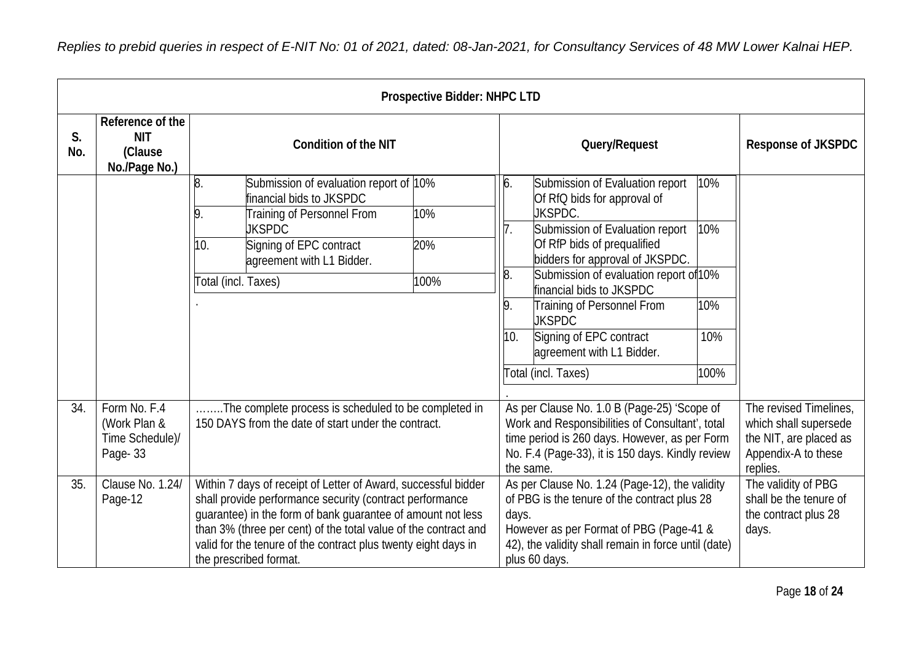|           |                                                            |                                                                                                                                                                                                                                                                                                                                                          | <b>Prospective Bidder: NHPC LTD</b> |                                                                                                                                                                                                                              |                                                                                                                                                                                                                                                                                                                                                                                    |                                                                                                  |                                                                                |
|-----------|------------------------------------------------------------|----------------------------------------------------------------------------------------------------------------------------------------------------------------------------------------------------------------------------------------------------------------------------------------------------------------------------------------------------------|-------------------------------------|------------------------------------------------------------------------------------------------------------------------------------------------------------------------------------------------------------------------------|------------------------------------------------------------------------------------------------------------------------------------------------------------------------------------------------------------------------------------------------------------------------------------------------------------------------------------------------------------------------------------|--------------------------------------------------------------------------------------------------|--------------------------------------------------------------------------------|
| S.<br>No. | Reference of the<br><b>NIT</b><br>(Clause<br>No./Page No.) | <b>Condition of the NIT</b>                                                                                                                                                                                                                                                                                                                              |                                     | Query/Request                                                                                                                                                                                                                |                                                                                                                                                                                                                                                                                                                                                                                    |                                                                                                  | <b>Response of JKSPDC</b>                                                      |
|           |                                                            | 8.<br>Submission of evaluation report of 10%<br>financial bids to JKSPDC<br>Training of Personnel From<br>9.<br><b>JKSPDC</b><br>10.<br>Signing of EPC contract<br>agreement with L1 Bidder.<br>Total (incl. Taxes)                                                                                                                                      | 10%<br>20%<br>100%                  | 6.<br>8.<br>9.<br>10.                                                                                                                                                                                                        | Submission of Evaluation report<br>Of RfQ bids for approval of<br>JKSPDC.<br>Submission of Evaluation report<br>Of RfP bids of prequalified<br>bidders for approval of JKSPDC.<br>Submission of evaluation report of 10%<br>financial bids to JKSPDC<br>Training of Personnel From<br><b>JKSPDC</b><br>Signing of EPC contract<br>agreement with L1 Bidder.<br>Total (incl. Taxes) | 10%<br>10%<br>10%<br>10%<br>100%                                                                 |                                                                                |
| 34.       | Form No. F.4<br>(Work Plan &<br>Time Schedule)/<br>Page-33 | . The complete process is scheduled to be completed in<br>150 DAYS from the date of start under the contract.                                                                                                                                                                                                                                            |                                     | As per Clause No. 1.0 B (Page-25) 'Scope of<br>Work and Responsibilities of Consultant', total<br>time period is 260 days. However, as per Form<br>No. F.4 (Page-33), it is 150 days. Kindly review<br>replies.<br>the same. |                                                                                                                                                                                                                                                                                                                                                                                    | The revised Timelines,<br>which shall supersede<br>the NIT, are placed as<br>Appendix-A to these |                                                                                |
| 35.       | Clause No. 1.24/<br>Page-12                                | Within 7 days of receipt of Letter of Award, successful bidder<br>shall provide performance security (contract performance<br>guarantee) in the form of bank guarantee of amount not less<br>than 3% (three per cent) of the total value of the contract and<br>valid for the tenure of the contract plus twenty eight days in<br>the prescribed format. |                                     | days.                                                                                                                                                                                                                        | As per Clause No. 1.24 (Page-12), the validity<br>of PBG is the tenure of the contract plus 28<br>However as per Format of PBG (Page-41 &<br>42), the validity shall remain in force until (date)<br>plus 60 days.                                                                                                                                                                 |                                                                                                  | The validity of PBG<br>shall be the tenure of<br>the contract plus 28<br>days. |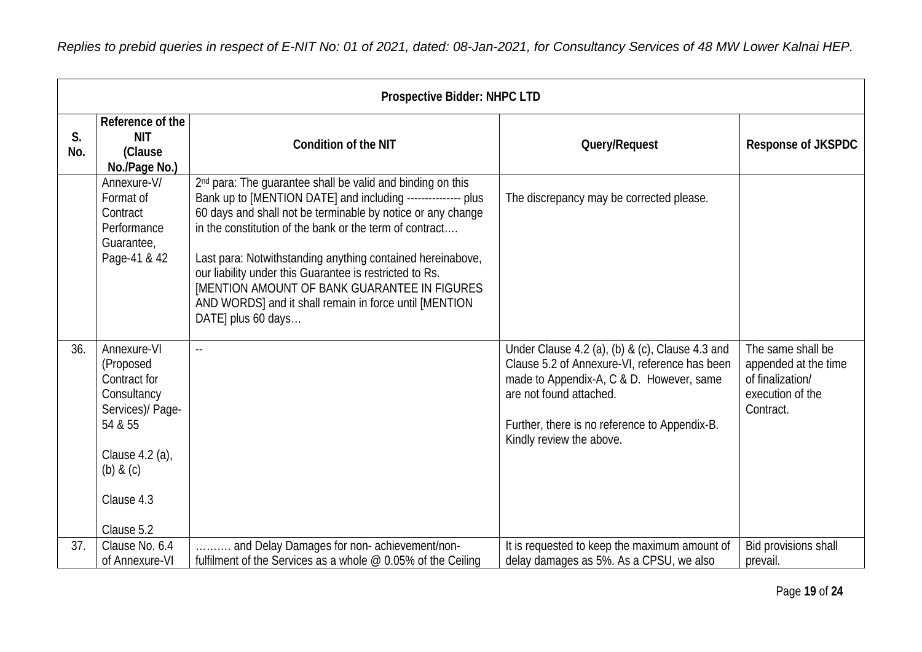|           | Prospective Bidder: NHPC LTD                                                                                                                           |                                                                                                                                                                                                                                                                                                                                                                                                                                                                                                                                  |                                                                                                                                                                                                                                                      |                                                                                                |  |  |  |
|-----------|--------------------------------------------------------------------------------------------------------------------------------------------------------|----------------------------------------------------------------------------------------------------------------------------------------------------------------------------------------------------------------------------------------------------------------------------------------------------------------------------------------------------------------------------------------------------------------------------------------------------------------------------------------------------------------------------------|------------------------------------------------------------------------------------------------------------------------------------------------------------------------------------------------------------------------------------------------------|------------------------------------------------------------------------------------------------|--|--|--|
| S.<br>No. | Reference of the<br><b>NIT</b><br>(Clause<br>No./Page No.)                                                                                             | <b>Condition of the NIT</b>                                                                                                                                                                                                                                                                                                                                                                                                                                                                                                      | Query/Request                                                                                                                                                                                                                                        | <b>Response of JKSPDC</b>                                                                      |  |  |  |
|           | Annexure-V/<br>Format of<br>Contract<br>Performance<br>Guarantee,<br>Page-41 & 42                                                                      | 2 <sup>nd</sup> para: The guarantee shall be valid and binding on this<br>Bank up to [MENTION DATE] and including --------------- plus<br>60 days and shall not be terminable by notice or any change<br>in the constitution of the bank or the term of contract<br>Last para: Notwithstanding anything contained hereinabove,<br>our liability under this Guarantee is restricted to Rs.<br><b>IMENTION AMOUNT OF BANK GUARANTEE IN FIGURES</b><br>AND WORDS] and it shall remain in force until [MENTION<br>DATE] plus 60 days | The discrepancy may be corrected please.                                                                                                                                                                                                             |                                                                                                |  |  |  |
| 36.       | Annexure-VI<br>(Proposed<br>Contract for<br>Consultancy<br>Services)/ Page-<br>54 & 55<br>Clause 4.2 (a),<br>$(b)$ & $(c)$<br>Clause 4.3<br>Clause 5.2 | $\sim$ $\sim$                                                                                                                                                                                                                                                                                                                                                                                                                                                                                                                    | Under Clause 4.2 (a), (b) & (c), Clause 4.3 and<br>Clause 5.2 of Annexure-VI, reference has been<br>made to Appendix-A, C & D. However, same<br>are not found attached.<br>Further, there is no reference to Appendix-B.<br>Kindly review the above. | The same shall be<br>appended at the time<br>of finalization/<br>execution of the<br>Contract. |  |  |  |
| 37.       | Clause No. 6.4<br>of Annexure-VI                                                                                                                       | and Delay Damages for non-achievement/non-<br>fulfilment of the Services as a whole $@$ 0.05% of the Ceiling                                                                                                                                                                                                                                                                                                                                                                                                                     | It is requested to keep the maximum amount of<br>delay damages as 5%. As a CPSU, we also                                                                                                                                                             | Bid provisions shall<br>prevail.                                                               |  |  |  |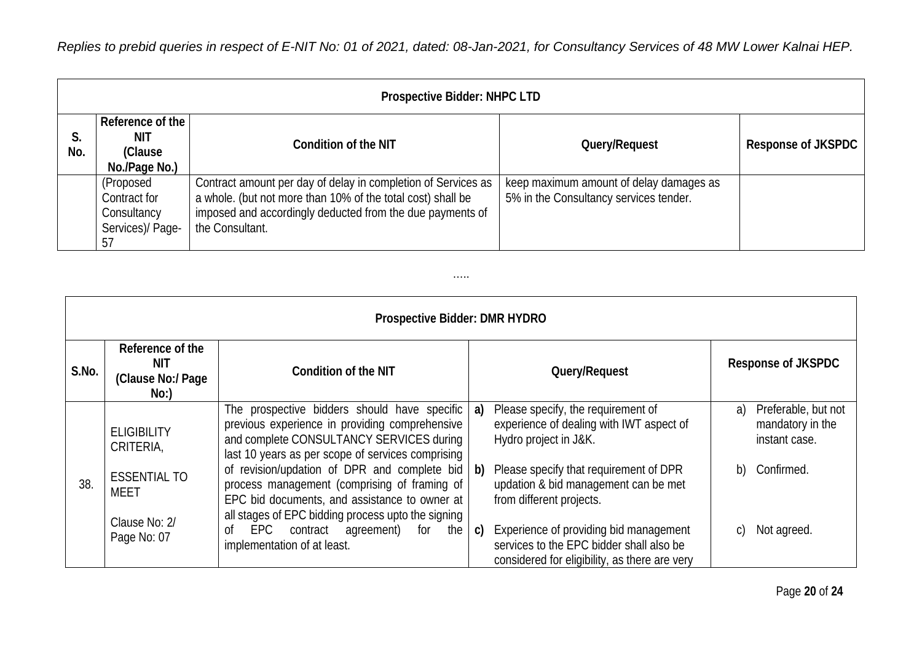|           | <b>Prospective Bidder: NHPC LTD</b>                                |                                                                                                                                                                                                              |                                                                                   |                    |  |  |  |  |  |
|-----------|--------------------------------------------------------------------|--------------------------------------------------------------------------------------------------------------------------------------------------------------------------------------------------------------|-----------------------------------------------------------------------------------|--------------------|--|--|--|--|--|
| S.<br>No. | Reference of the<br>NIT<br>(Clause)<br>No./Page No.)               | <b>Condition of the NIT</b>                                                                                                                                                                                  | Query/Request                                                                     | Response of JKSPDC |  |  |  |  |  |
|           | (Proposed<br>Contract for<br>Consultancy<br>Services)/ Page-<br>57 | Contract amount per day of delay in completion of Services as<br>a whole. (but not more than 10% of the total cost) shall be<br>imposed and accordingly deducted from the due payments of<br>the Consultant. | keep maximum amount of delay damages as<br>5% in the Consultancy services tender. |                    |  |  |  |  |  |

…..

|       | Prospective Bidder: DMR HYDRO                       |                                                                                                                                                                                                     |                                                                                                                                                     |                                                                |  |  |  |  |  |  |
|-------|-----------------------------------------------------|-----------------------------------------------------------------------------------------------------------------------------------------------------------------------------------------------------|-----------------------------------------------------------------------------------------------------------------------------------------------------|----------------------------------------------------------------|--|--|--|--|--|--|
| S.No. | Reference of the<br>NIT<br>(Clause No:/ Page<br>No: | <b>Condition of the NIT</b>                                                                                                                                                                         | Query/Request                                                                                                                                       | <b>Response of JKSPDC</b>                                      |  |  |  |  |  |  |
|       | <b>ELIGIBILITY</b><br>CRITERIA,                     | The prospective bidders should have specific<br>previous experience in providing comprehensive<br>and complete CONSULTANCY SERVICES during<br>last 10 years as per scope of services comprising     | Please specify, the requirement of<br>a)<br>experience of dealing with IWT aspect of<br>Hydro project in J&K.                                       | Preferable, but not<br>a)<br>mandatory in the<br>instant case. |  |  |  |  |  |  |
| 38    | <b>ESSENTIAL TO</b><br><b>MEET</b>                  | of revision/updation of DPR and complete bid<br>process management (comprising of framing of<br>EPC bid documents, and assistance to owner at<br>all stages of EPC bidding process upto the signing | Please specify that requirement of DPR<br>$\mathsf{b}$<br>updation & bid management can be met<br>from different projects.                          | b)<br>Confirmed.                                               |  |  |  |  |  |  |
|       | Clause No: 2/<br>Page No: 07                        | EPC contract agreement)<br>for the<br>0f<br>implementation of at least.                                                                                                                             | Experience of providing bid management<br>$\mathsf{C}$<br>services to the EPC bidder shall also be<br>considered for eligibility, as there are very | Not agreed.                                                    |  |  |  |  |  |  |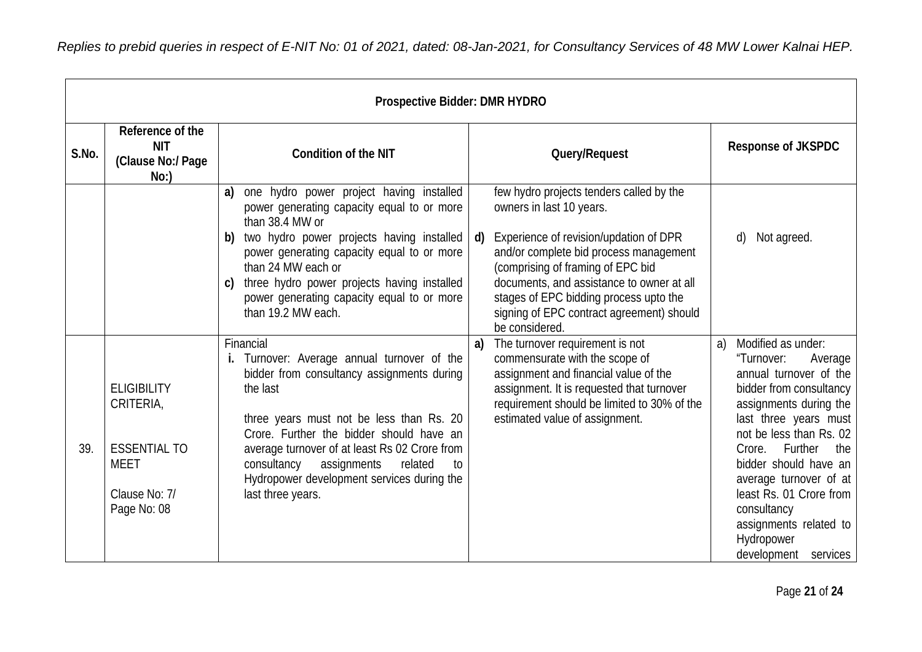|       |                                                                                                       | <b>Prospective Bidder: DMR HYDRO</b>                                                                                                                                                                                                                                                                                                                                          |                                                                                                                                                                                                                                                                                                                                                                     |                                                                                                                                                                                                                                                                                                                                                                               |
|-------|-------------------------------------------------------------------------------------------------------|-------------------------------------------------------------------------------------------------------------------------------------------------------------------------------------------------------------------------------------------------------------------------------------------------------------------------------------------------------------------------------|---------------------------------------------------------------------------------------------------------------------------------------------------------------------------------------------------------------------------------------------------------------------------------------------------------------------------------------------------------------------|-------------------------------------------------------------------------------------------------------------------------------------------------------------------------------------------------------------------------------------------------------------------------------------------------------------------------------------------------------------------------------|
| S.No. | Reference of the<br><b>NIT</b><br>(Clause No:/ Page<br>No:                                            | <b>Condition of the NIT</b>                                                                                                                                                                                                                                                                                                                                                   | Query/Request                                                                                                                                                                                                                                                                                                                                                       | <b>Response of JKSPDC</b>                                                                                                                                                                                                                                                                                                                                                     |
|       |                                                                                                       | one hydro power project having installed<br>a)<br>power generating capacity equal to or more<br>than 38.4 MW or<br>two hydro power projects having installed<br>b)<br>power generating capacity equal to or more<br>than 24 MW each or<br>three hydro power projects having installed<br>C)<br>power generating capacity equal to or more<br>than 19.2 MW each.               | few hydro projects tenders called by the<br>owners in last 10 years.<br>Experience of revision/updation of DPR<br>$\mathsf{d}$<br>and/or complete bid process management<br>(comprising of framing of EPC bid<br>documents, and assistance to owner at all<br>stages of EPC bidding process upto the<br>signing of EPC contract agreement) should<br>be considered. | Not agreed.<br>d)                                                                                                                                                                                                                                                                                                                                                             |
| 39.   | <b>ELIGIBILITY</b><br>CRITERIA,<br><b>ESSENTIAL TO</b><br><b>MEET</b><br>Clause No: 7/<br>Page No: 08 | Financial<br>i. Turnover: Average annual turnover of the<br>bidder from consultancy assignments during<br>the last<br>three years must not be less than Rs. 20<br>Crore. Further the bidder should have an<br>average turnover of at least Rs 02 Crore from<br>assignments<br>related<br>consultancy<br>to<br>Hydropower development services during the<br>last three years. | The turnover requirement is not<br>a)<br>commensurate with the scope of<br>assignment and financial value of the<br>assignment. It is requested that turnover<br>requirement should be limited to 30% of the<br>estimated value of assignment.                                                                                                                      | Modified as under:<br>a)<br>"Turnover:<br>Average<br>annual turnover of the<br>bidder from consultancy<br>assignments during the<br>last three years must<br>not be less than Rs. 02<br>Further<br>Crore.<br>the<br>bidder should have an<br>average turnover of at<br>least Rs. 01 Crore from<br>consultancy<br>assignments related to<br>Hydropower<br>development services |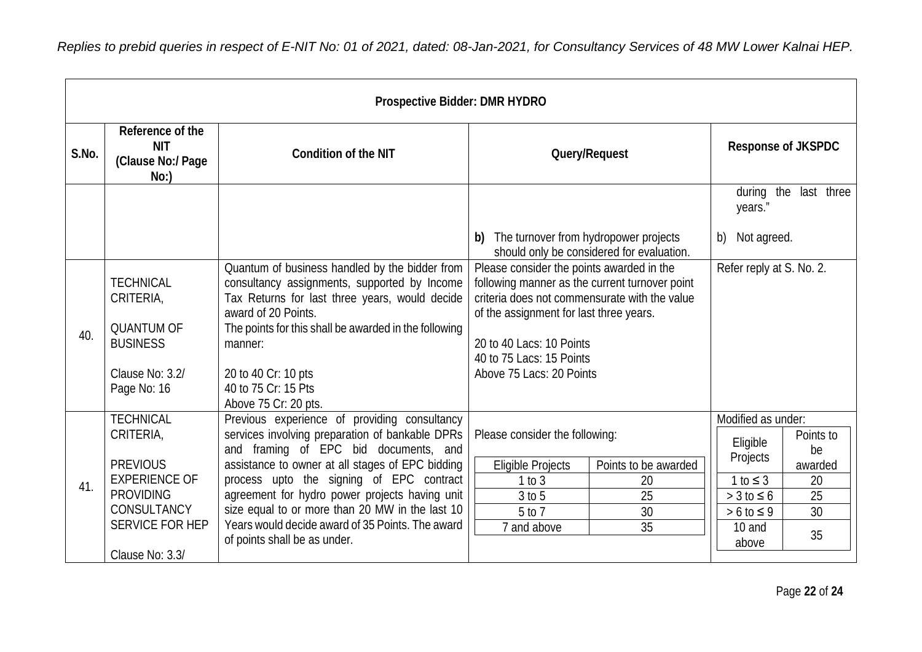*Replies to prebid queries in respect of E-NIT No: 01 of 2021, dated: 08-Jan-2021, for Consultancy Services of 48 MW Lower Kalnai HEP.*

|       |                                                                                                                                                          | <b>Prospective Bidder: DMR HYDRO</b>                                                                                                                                                                                                                                                                                                                                                                                              |                                                                                                                                                                                                                                                                             |                                                           |                                                                                                                          |                                                                 |
|-------|----------------------------------------------------------------------------------------------------------------------------------------------------------|-----------------------------------------------------------------------------------------------------------------------------------------------------------------------------------------------------------------------------------------------------------------------------------------------------------------------------------------------------------------------------------------------------------------------------------|-----------------------------------------------------------------------------------------------------------------------------------------------------------------------------------------------------------------------------------------------------------------------------|-----------------------------------------------------------|--------------------------------------------------------------------------------------------------------------------------|-----------------------------------------------------------------|
| S.No. | Reference of the<br><b>NIT</b><br>(Clause No:/ Page<br>No:                                                                                               | <b>Condition of the NIT</b>                                                                                                                                                                                                                                                                                                                                                                                                       | Query/Request                                                                                                                                                                                                                                                               |                                                           | <b>Response of JKSPDC</b>                                                                                                |                                                                 |
|       |                                                                                                                                                          |                                                                                                                                                                                                                                                                                                                                                                                                                                   | The turnover from hydropower projects<br>b)                                                                                                                                                                                                                                 | years."<br>Not agreed.<br>b)                              | during the last three                                                                                                    |                                                                 |
|       |                                                                                                                                                          |                                                                                                                                                                                                                                                                                                                                                                                                                                   | should only be considered for evaluation.                                                                                                                                                                                                                                   |                                                           |                                                                                                                          |                                                                 |
| 40.   | <b>TECHNICAL</b><br>CRITERIA,<br><b>QUANTUM OF</b><br><b>BUSINESS</b><br>Clause No: 3.2/<br>Page No: 16                                                  | Quantum of business handled by the bidder from<br>consultancy assignments, supported by Income<br>Tax Returns for last three years, would decide<br>award of 20 Points.<br>The points for this shall be awarded in the following<br>manner:<br>20 to 40 Cr: 10 pts<br>40 to 75 Cr: 15 Pts<br>Above 75 Cr: 20 pts.                                                                                                                 | Please consider the points awarded in the<br>following manner as the current turnover point<br>criteria does not commensurate with the value<br>of the assignment for last three years.<br>20 to 40 Lacs: 10 Points<br>40 to 75 Lacs: 15 Points<br>Above 75 Lacs: 20 Points | Refer reply at S. No. 2.                                  |                                                                                                                          |                                                                 |
| 41.   | <b>TECHNICAL</b><br>CRITERIA,<br><b>PREVIOUS</b><br><b>EXPERIENCE OF</b><br><b>PROVIDING</b><br>CONSULTANCY<br><b>SERVICE FOR HEP</b><br>Clause No: 3.3/ | Previous experience of providing consultancy<br>services involving preparation of bankable DPRs<br>and framing of EPC bid documents, and<br>assistance to owner at all stages of EPC bidding<br>process upto the signing of EPC contract<br>agreement for hydro power projects having unit<br>size equal to or more than 20 MW in the last 10<br>Years would decide award of 35 Points. The award<br>of points shall be as under. | Please consider the following:<br><b>Eligible Projects</b><br>1 to 3<br>3 to 5<br>5 to 7<br>7 and above                                                                                                                                                                     | Points to be awarded<br>20<br>25<br>$\overline{30}$<br>35 | Modified as under:<br>Eligible<br>Projects<br>$1 to \leq 3$<br>$>$ 3 to $\leq$ 6<br>$> 6$ to $\leq 9$<br>10 and<br>above | Points to<br>be<br>awarded<br>20<br>25<br>$\overline{30}$<br>35 |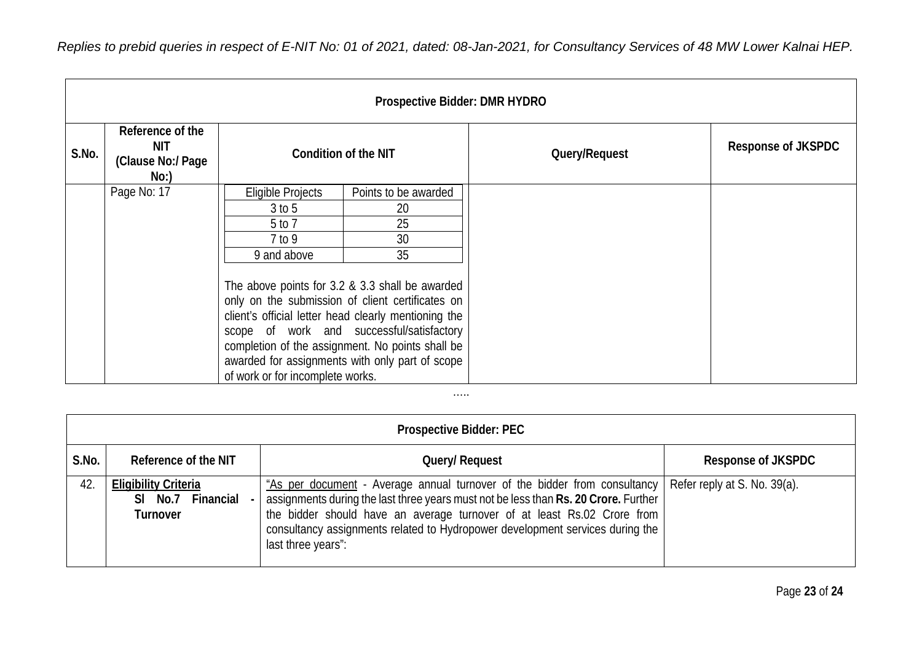| Replies to prebid queries in respect of E-NIT No: 01 of 2021, dated: 08-Jan-2021, for Consultancy Services of 48 MW Lower Kalnai HEP. |  |
|---------------------------------------------------------------------------------------------------------------------------------------|--|
|---------------------------------------------------------------------------------------------------------------------------------------|--|

| Prospective Bidder: DMR HYDRO |                                                     |                                                                                                                                                                                                                                                                                                                                                     |                            |               |                           |  |  |  |  |
|-------------------------------|-----------------------------------------------------|-----------------------------------------------------------------------------------------------------------------------------------------------------------------------------------------------------------------------------------------------------------------------------------------------------------------------------------------------------|----------------------------|---------------|---------------------------|--|--|--|--|
| S.No.                         | Reference of the<br>NIT<br>(Clause No:/ Page<br>No: | Condition of the NIT                                                                                                                                                                                                                                                                                                                                |                            | Query/Request | <b>Response of JKSPDC</b> |  |  |  |  |
|                               | Page No: 17                                         | Eligible Projects<br>$3$ to $5$                                                                                                                                                                                                                                                                                                                     | Points to be awarded<br>20 |               |                           |  |  |  |  |
|                               |                                                     | 5 to 7                                                                                                                                                                                                                                                                                                                                              | 25                         |               |                           |  |  |  |  |
|                               |                                                     | 7 to 9                                                                                                                                                                                                                                                                                                                                              | 30                         |               |                           |  |  |  |  |
|                               |                                                     | 9 and above                                                                                                                                                                                                                                                                                                                                         | 35                         |               |                           |  |  |  |  |
|                               |                                                     | The above points for 3.2 & 3.3 shall be awarded<br>only on the submission of client certificates on<br>client's official letter head clearly mentioning the<br>scope of work and successful/satisfactory<br>completion of the assignment. No points shall be<br>awarded for assignments with only part of scope<br>of work or for incomplete works. |                            |               |                           |  |  |  |  |

## **Prospective Bidder: PEC** S.No. Reference of the NIT **Reference** of the NIT **Response of JKSPDC** 42. **Eligibility Criteria Sl No.7 Financial - Turnover** "As per document - Average annual turnover of the bidder from consultancy assignments during the last three years must not be less than **Rs. 20 Crore.** Further the bidder should have an average turnover of at least Rs.02 Crore from consultancy assignments related to Hydropower development services during the last three years": Refer reply at S. No. 39(a).

…..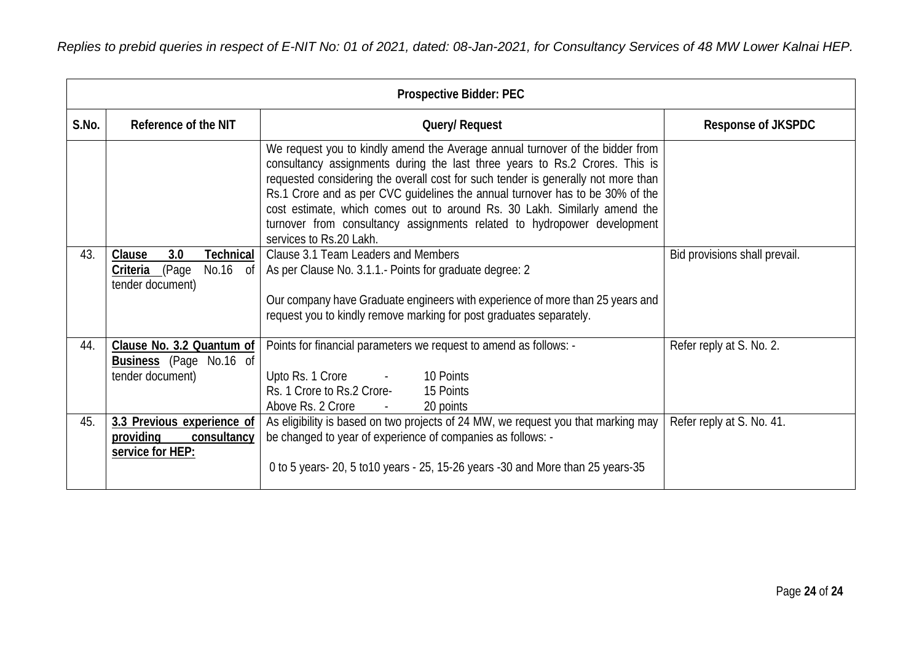| <b>Prospective Bidder: PEC</b> |                                                                                                |                                                                                                                                                                                                                                                                                                                                                                                                                                                                                                                       |                               |  |  |  |
|--------------------------------|------------------------------------------------------------------------------------------------|-----------------------------------------------------------------------------------------------------------------------------------------------------------------------------------------------------------------------------------------------------------------------------------------------------------------------------------------------------------------------------------------------------------------------------------------------------------------------------------------------------------------------|-------------------------------|--|--|--|
| S.No.                          | Reference of the NIT                                                                           | Query/ Request                                                                                                                                                                                                                                                                                                                                                                                                                                                                                                        | <b>Response of JKSPDC</b>     |  |  |  |
|                                |                                                                                                | We request you to kindly amend the Average annual turnover of the bidder from<br>consultancy assignments during the last three years to Rs.2 Crores. This is<br>requested considering the overall cost for such tender is generally not more than<br>Rs.1 Crore and as per CVC guidelines the annual turnover has to be 30% of the<br>cost estimate, which comes out to around Rs. 30 Lakh. Similarly amend the<br>turnover from consultancy assignments related to hydropower development<br>services to Rs.20 Lakh. |                               |  |  |  |
| 43.                            | 3.0<br><b>Technical</b><br>Clause<br>(Page)<br>No.16 of<br><u>Criteria</u><br>tender document) | Clause 3.1 Team Leaders and Members<br>As per Clause No. 3.1.1. Points for graduate degree: 2<br>Our company have Graduate engineers with experience of more than 25 years and                                                                                                                                                                                                                                                                                                                                        | Bid provisions shall prevail. |  |  |  |
|                                |                                                                                                | request you to kindly remove marking for post graduates separately.                                                                                                                                                                                                                                                                                                                                                                                                                                                   |                               |  |  |  |
| 44.                            | Clause No. 3.2 Quantum of<br><b>Business</b> (Page No.16 of<br>tender document)                | Points for financial parameters we request to amend as follows: -<br>Upto Rs. 1 Crore - 10 Points<br>Rs. 1 Crore to Rs.2 Crore-<br>15 Points<br>Above Rs. 2 Crore<br>20 points                                                                                                                                                                                                                                                                                                                                        | Refer reply at S. No. 2.      |  |  |  |
| 45.                            | 3.3 Previous experience of<br>providing<br>consultancy<br>service for HEP:                     | As eligibility is based on two projects of 24 MW, we request you that marking may<br>be changed to year of experience of companies as follows: -<br>0 to 5 years- 20, 5 to 10 years - 25, 15-26 years - 30 and More than 25 years-35                                                                                                                                                                                                                                                                                  | Refer reply at S. No. 41.     |  |  |  |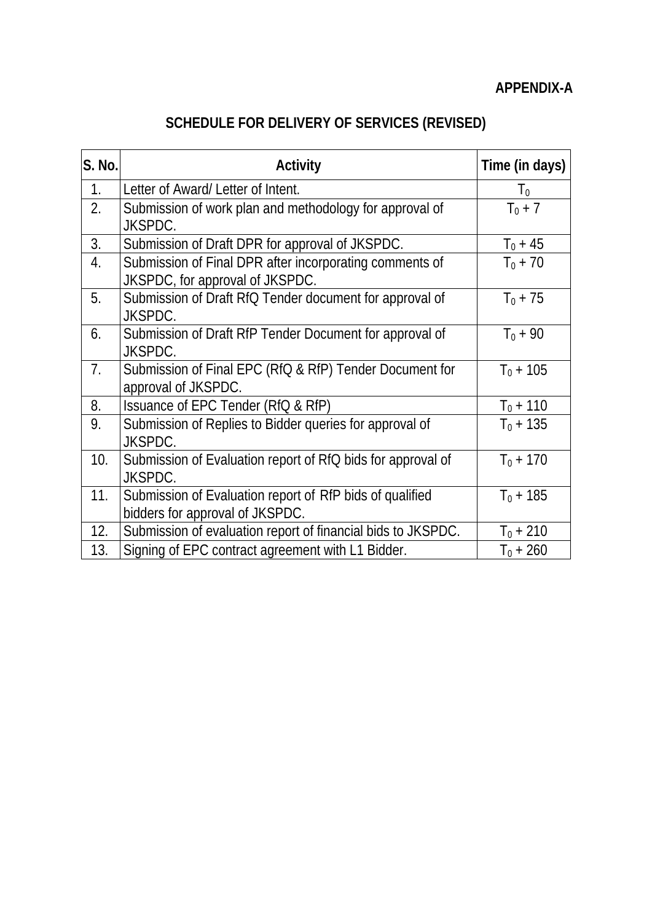## **SCHEDULE FOR DELIVERY OF SERVICES (REVISED)**

| S. No.         | <b>Activity</b>                                                                             | Time (in days) |
|----------------|---------------------------------------------------------------------------------------------|----------------|
| 1 <sub>1</sub> | Letter of Award/ Letter of Intent.                                                          | T <sub>0</sub> |
| 2.             | Submission of work plan and methodology for approval of<br>JKSPDC.                          | $T_0 + 7$      |
| 3.             | Submission of Draft DPR for approval of JKSPDC.                                             | $T_0 + 45$     |
| 4.             | Submission of Final DPR after incorporating comments of<br>JKSPDC, for approval of JKSPDC.  | $T_0 + 70$     |
| 5.             | Submission of Draft RfQ Tender document for approval of<br>JKSPDC.                          | $T_0 + 75$     |
| 6.             | Submission of Draft RfP Tender Document for approval of<br>JKSPDC.                          | $T_0 + 90$     |
| 7.             | Submission of Final EPC (RfQ & RfP) Tender Document for<br>approval of JKSPDC.              | $T_0 + 105$    |
| 8.             | Issuance of EPC Tender (RfQ & RfP)                                                          | $T_0 + 110$    |
| 9.             | Submission of Replies to Bidder queries for approval of<br>JKSPDC.                          | $T_0 + 135$    |
| 10.            | Submission of Evaluation report of RfQ bids for approval of<br>JKSPDC.                      | $T_0 + 170$    |
| 11.            | Submission of Evaluation report of RfP bids of qualified<br>bidders for approval of JKSPDC. | $T_0 + 185$    |
| 12.            | Submission of evaluation report of financial bids to JKSPDC.                                | $T_0 + 210$    |
| 13.            | Signing of EPC contract agreement with L1 Bidder.                                           | $T_0 + 260$    |